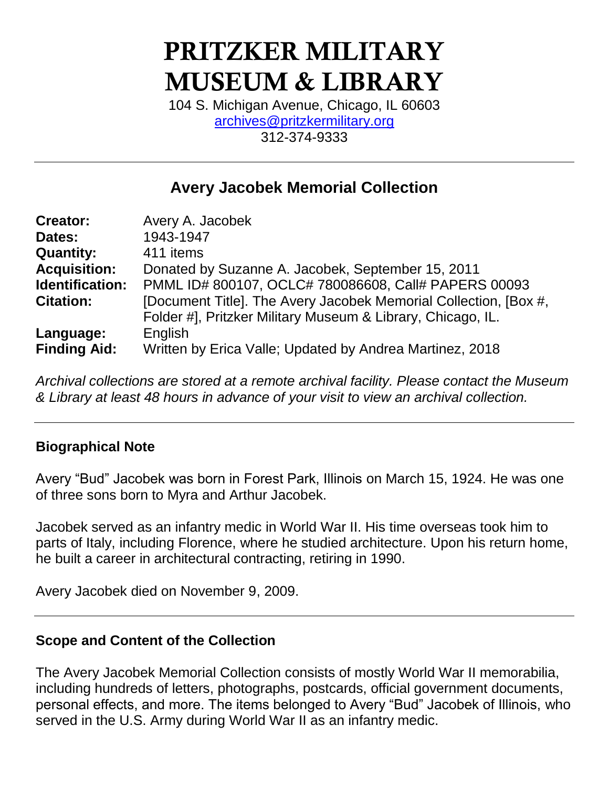# **PRITZKER MILITARY MUSEUM & LIBRARY**

104 S. Michigan Avenue, Chicago, IL 60603 [archives@pritzkermilitary.org](mailto:archives@pritzkermilitary.org) 312-374-9333

## **Avery Jacobek Memorial Collection**

| <b>Creator:</b>     | Avery A. Jacobek                                                 |
|---------------------|------------------------------------------------------------------|
| Dates:              | 1943-1947                                                        |
| <b>Quantity:</b>    | 411 items                                                        |
| <b>Acquisition:</b> | Donated by Suzanne A. Jacobek, September 15, 2011                |
| Identification:     | PMML ID# 800107, OCLC# 780086608, Call# PAPERS 00093             |
| <b>Citation:</b>    | [Document Title]. The Avery Jacobek Memorial Collection, [Box #, |
|                     | Folder #], Pritzker Military Museum & Library, Chicago, IL.      |
| Language:           | English                                                          |
| <b>Finding Aid:</b> | Written by Erica Valle; Updated by Andrea Martinez, 2018         |

*Archival collections are stored at a remote archival facility. Please contact the Museum & Library at least 48 hours in advance of your visit to view an archival collection.*

#### **Biographical Note**

Avery "Bud" Jacobek was born in Forest Park, Illinois on March 15, 1924. He was one of three sons born to Myra and Arthur Jacobek.

Jacobek served as an infantry medic in World War II. His time overseas took him to parts of Italy, including Florence, where he studied architecture. Upon his return home, he built a career in architectural contracting, retiring in 1990.

Avery Jacobek died on November 9, 2009.

#### **Scope and Content of the Collection**

The Avery Jacobek Memorial Collection consists of mostly World War II memorabilia, including hundreds of letters, photographs, postcards, official government documents, personal effects, and more. The items belonged to Avery "Bud" Jacobek of Illinois, who served in the U.S. Army during World War II as an infantry medic.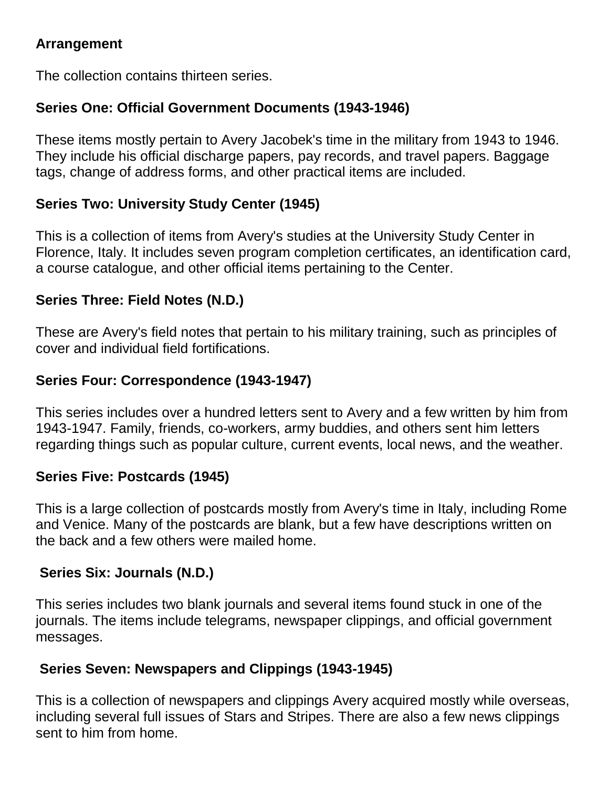#### **Arrangement**

The collection contains thirteen series.

### **Series One: Official Government Documents (1943-1946)**

These items mostly pertain to Avery Jacobek's time in the military from 1943 to 1946. They include his official discharge papers, pay records, and travel papers. Baggage tags, change of address forms, and other practical items are included.

#### **Series Two: University Study Center (1945)**

This is a collection of items from Avery's studies at the University Study Center in Florence, Italy. It includes seven program completion certificates, an identification card, a course catalogue, and other official items pertaining to the Center.

#### **Series Three: Field Notes (N.D.)**

These are Avery's field notes that pertain to his military training, such as principles of cover and individual field fortifications.

#### **Series Four: Correspondence (1943-1947)**

This series includes over a hundred letters sent to Avery and a few written by him from 1943-1947. Family, friends, co-workers, army buddies, and others sent him letters regarding things such as popular culture, current events, local news, and the weather.

#### **Series Five: Postcards (1945)**

This is a large collection of postcards mostly from Avery's time in Italy, including Rome and Venice. Many of the postcards are blank, but a few have descriptions written on the back and a few others were mailed home.

#### **Series Six: Journals (N.D.)**

This series includes two blank journals and several items found stuck in one of the journals. The items include telegrams, newspaper clippings, and official government messages.

### **Series Seven: Newspapers and Clippings (1943-1945)**

This is a collection of newspapers and clippings Avery acquired mostly while overseas, including several full issues of Stars and Stripes. There are also a few news clippings sent to him from home.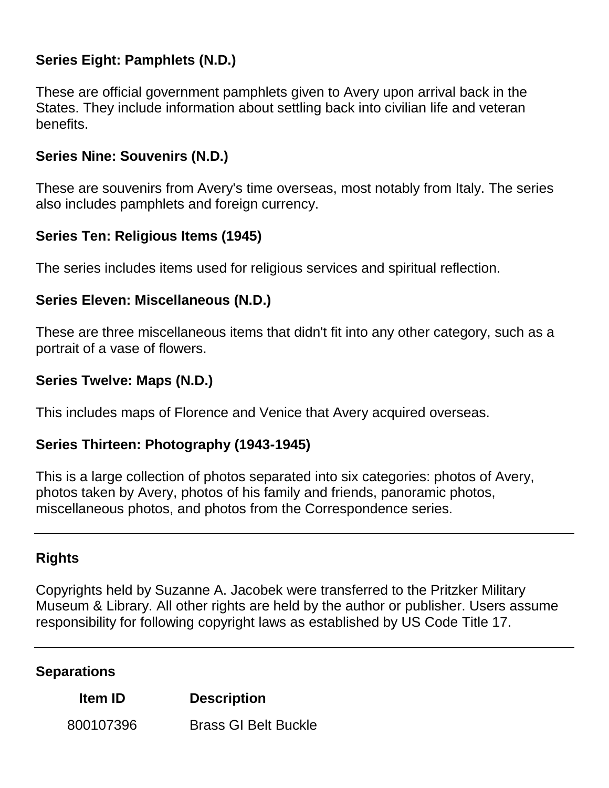#### **Series Eight: Pamphlets (N.D.)**

These are official government pamphlets given to Avery upon arrival back in the States. They include information about settling back into civilian life and veteran benefits.

#### **Series Nine: Souvenirs (N.D.)**

These are souvenirs from Avery's time overseas, most notably from Italy. The series also includes pamphlets and foreign currency.

#### **Series Ten: Religious Items (1945)**

The series includes items used for religious services and spiritual reflection.

#### **Series Eleven: Miscellaneous (N.D.)**

These are three miscellaneous items that didn't fit into any other category, such as a portrait of a vase of flowers.

#### **Series Twelve: Maps (N.D.)**

This includes maps of Florence and Venice that Avery acquired overseas.

#### **Series Thirteen: Photography (1943-1945)**

This is a large collection of photos separated into six categories: photos of Avery, photos taken by Avery, photos of his family and friends, panoramic photos, miscellaneous photos, and photos from the Correspondence series.

#### **Rights**

Copyrights held by Suzanne A. Jacobek were transferred to the Pritzker Military Museum & Library. All other rights are held by the author or publisher. Users assume responsibility for following copyright laws as established by US Code Title 17.

#### **Separations**

#### **Item ID Description**

800107396 Brass GI Belt Buckle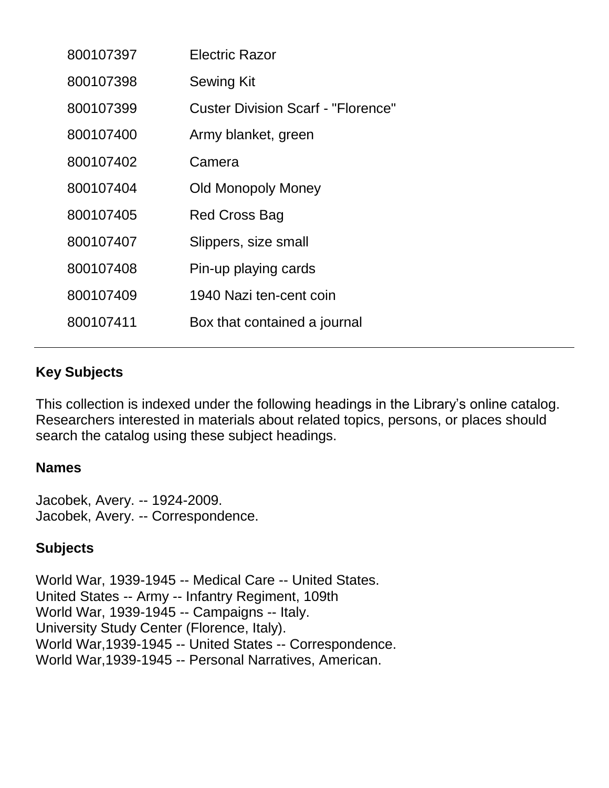| 800107397 | Electric Razor                            |
|-----------|-------------------------------------------|
| 800107398 | <b>Sewing Kit</b>                         |
| 800107399 | <b>Custer Division Scarf - "Florence"</b> |
| 800107400 | Army blanket, green                       |
| 800107402 | Camera                                    |
| 800107404 | <b>Old Monopoly Money</b>                 |
| 800107405 | Red Cross Bag                             |
| 800107407 | Slippers, size small                      |
| 800107408 | Pin-up playing cards                      |
| 800107409 | 1940 Nazi ten-cent coin                   |
| 800107411 | Box that contained a journal              |

#### **Key Subjects**

This collection is indexed under the following headings in the Library's online catalog. Researchers interested in materials about related topics, persons, or places should search the catalog using these subject headings.

#### **Names**

Jacobek, Avery. -- 1924-2009. Jacobek, Avery. -- Correspondence.

#### **Subjects**

World War, 1939-1945 -- Medical Care -- United States. United States -- Army -- Infantry Regiment, 109th World War, 1939-1945 -- Campaigns -- Italy. University Study Center (Florence, Italy). World War,1939-1945 -- United States -- Correspondence. World War,1939-1945 -- Personal Narratives, American.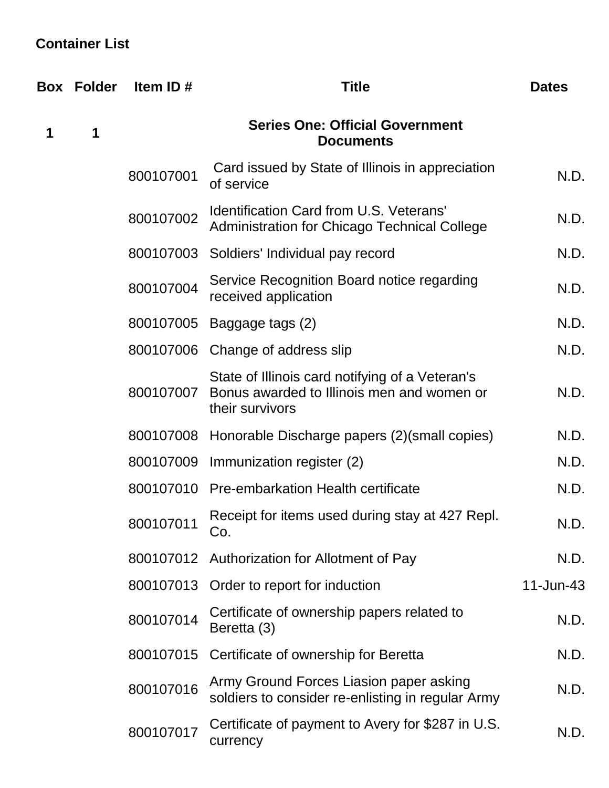## **Container List**

|   | <b>Box Folder</b> | Item ID#  | <b>Title</b>                                                                                                     | <b>Dates</b> |
|---|-------------------|-----------|------------------------------------------------------------------------------------------------------------------|--------------|
| 1 | 1                 |           | <b>Series One: Official Government</b><br><b>Documents</b>                                                       |              |
|   |                   | 800107001 | Card issued by State of Illinois in appreciation<br>of service                                                   | N.D.         |
|   |                   | 800107002 | <b>Identification Card from U.S. Veterans'</b><br>Administration for Chicago Technical College                   | N.D.         |
|   |                   |           | 800107003 Soldiers' Individual pay record                                                                        | N.D.         |
|   |                   | 800107004 | Service Recognition Board notice regarding<br>received application                                               | N.D.         |
|   |                   |           | 800107005 Baggage tags (2)                                                                                       | N.D.         |
|   |                   |           | 800107006 Change of address slip                                                                                 | N.D.         |
|   |                   | 800107007 | State of Illinois card notifying of a Veteran's<br>Bonus awarded to Illinois men and women or<br>their survivors | N.D.         |
|   |                   |           | 800107008 Honorable Discharge papers (2)(small copies)                                                           | N.D.         |
|   |                   |           | 800107009 Immunization register (2)                                                                              | N.D.         |
|   |                   |           | 800107010 Pre-embarkation Health certificate                                                                     | N.D.         |
|   |                   | 800107011 | Receipt for items used during stay at 427 Repl.<br>Co.                                                           | N.D.         |
|   |                   |           | 800107012 Authorization for Allotment of Pay                                                                     | N.D.         |
|   |                   |           | 800107013 Order to report for induction                                                                          | 11-Jun-43    |
|   |                   | 800107014 | Certificate of ownership papers related to<br>Beretta (3)                                                        | N.D.         |
|   |                   | 800107015 | Certificate of ownership for Beretta                                                                             | N.D.         |
|   |                   | 800107016 | Army Ground Forces Liasion paper asking<br>soldiers to consider re-enlisting in regular Army                     | N.D.         |
|   |                   | 800107017 | Certificate of payment to Avery for \$287 in U.S.<br>currency                                                    | N.D.         |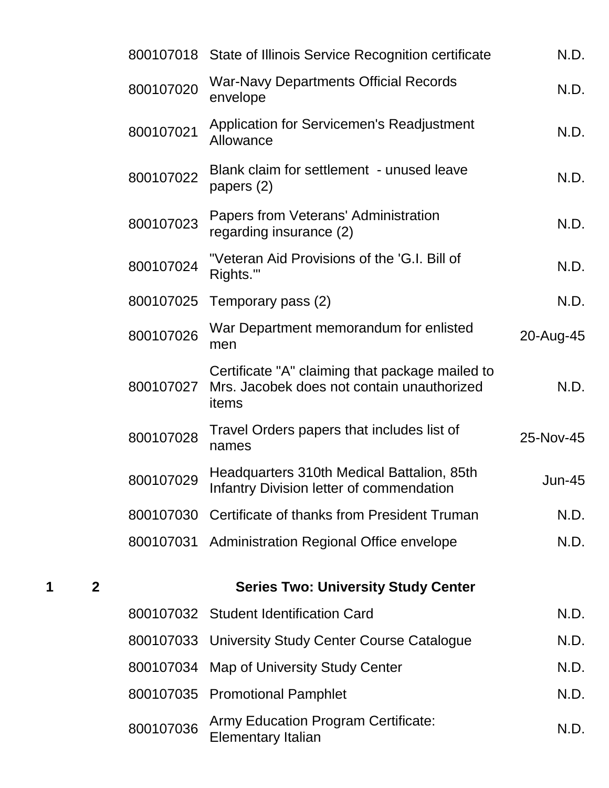|   |                |           | 800107018 State of Illinois Service Recognition certificate                                            | N.D.          |
|---|----------------|-----------|--------------------------------------------------------------------------------------------------------|---------------|
|   |                | 800107020 | <b>War-Navy Departments Official Records</b><br>envelope                                               | N.D.          |
|   |                | 800107021 | <b>Application for Servicemen's Readjustment</b><br>Allowance                                          | N.D.          |
|   |                | 800107022 | Blank claim for settlement - unused leave<br>papers $(2)$                                              | N.D.          |
|   |                | 800107023 | Papers from Veterans' Administration<br>regarding insurance (2)                                        | N.D.          |
|   |                | 800107024 | "Veteran Aid Provisions of the 'G.I. Bill of<br>Rights."                                               | N.D.          |
|   |                | 800107025 | Temporary pass (2)                                                                                     | N.D.          |
|   |                | 800107026 | War Department memorandum for enlisted<br>men                                                          | 20-Aug-45     |
|   |                | 800107027 | Certificate "A" claiming that package mailed to<br>Mrs. Jacobek does not contain unauthorized<br>items | N.D.          |
|   |                | 800107028 | Travel Orders papers that includes list of<br>names                                                    | 25-Nov-45     |
|   |                | 800107029 | Headquarters 310th Medical Battalion, 85th<br>Infantry Division letter of commendation                 | <b>Jun-45</b> |
|   |                |           | 800107030 Certificate of thanks from President Truman                                                  | N.D.          |
|   |                |           | 800107031 Administration Regional Office envelope                                                      | N.D.          |
| 1 | $\overline{2}$ |           | <b>Series Two: University Study Center</b>                                                             |               |
|   |                |           | 800107032 Student Identification Card                                                                  | N.D.          |
|   |                |           | 800107033 University Study Center Course Catalogue                                                     | N.D.          |
|   |                |           | 800107034 Map of University Study Center                                                               | N.D.          |
|   |                |           | 800107035 Promotional Pamphlet                                                                         | N.D.          |
|   |                | 800107036 | <b>Army Education Program Certificate:</b><br><b>Elementary Italian</b>                                | N.D.          |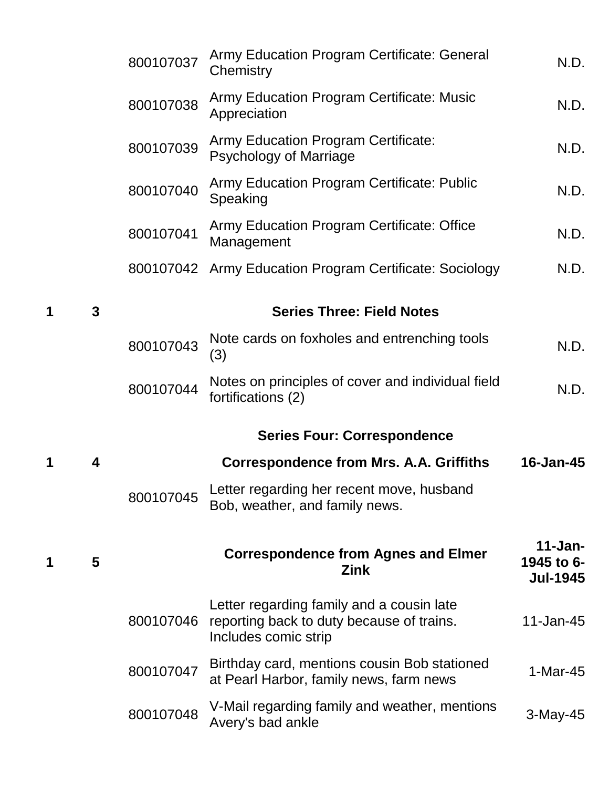|   |   | 800107037 | Army Education Program Certificate: General<br>Chemistry                                                       | N.D.                                         |
|---|---|-----------|----------------------------------------------------------------------------------------------------------------|----------------------------------------------|
|   |   | 800107038 | Army Education Program Certificate: Music<br>Appreciation                                                      | N.D.                                         |
|   |   | 800107039 | <b>Army Education Program Certificate:</b><br><b>Psychology of Marriage</b>                                    | N.D.                                         |
|   |   | 800107040 | <b>Army Education Program Certificate: Public</b><br>Speaking                                                  | N.D.                                         |
|   |   | 800107041 | Army Education Program Certificate: Office<br>Management                                                       | N.D.                                         |
|   |   |           | 800107042 Army Education Program Certificate: Sociology                                                        | N.D.                                         |
| 1 | 3 |           | <b>Series Three: Field Notes</b>                                                                               |                                              |
|   |   | 800107043 | Note cards on foxholes and entrenching tools<br>(3)                                                            | N.D.                                         |
|   |   | 800107044 | Notes on principles of cover and individual field<br>fortifications (2)                                        | N.D.                                         |
|   |   |           | <b>Series Four: Correspondence</b>                                                                             |                                              |
| 1 | 4 |           | <b>Correspondence from Mrs. A.A. Griffiths</b>                                                                 | 16-Jan-45                                    |
|   |   | 800107045 | Letter regarding her recent move, husband<br>Bob, weather, and family news.                                    |                                              |
| 1 | 5 |           | <b>Correspondence from Agnes and Elmer</b><br>Zink                                                             | $11 - Jan-$<br>1945 to 6-<br><b>Jul-1945</b> |
|   |   | 800107046 | Letter regarding family and a cousin late<br>reporting back to duty because of trains.<br>Includes comic strip | 11-Jan-45                                    |
|   |   | 800107047 | Birthday card, mentions cousin Bob stationed<br>at Pearl Harbor, family news, farm news                        | $1-Mar-45$                                   |
|   |   | 800107048 | V-Mail regarding family and weather, mentions<br>Avery's bad ankle                                             | $3-May-45$                                   |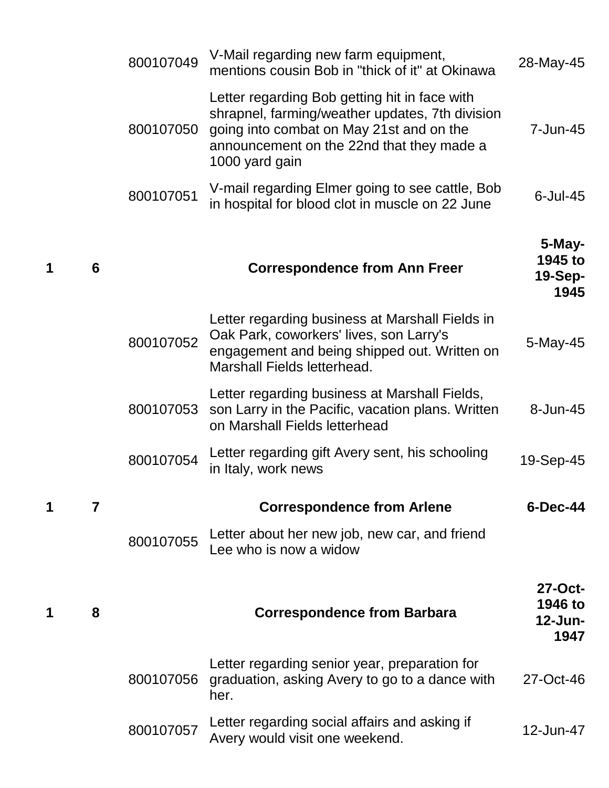|   |   | 800107049 | V-Mail regarding new farm equipment,<br>mentions cousin Bob in "thick of it" at Okinawa                                                                                                                     | 28-May-45                                 |
|---|---|-----------|-------------------------------------------------------------------------------------------------------------------------------------------------------------------------------------------------------------|-------------------------------------------|
|   |   | 800107050 | Letter regarding Bob getting hit in face with<br>shrapnel, farming/weather updates, 7th division<br>going into combat on May 21st and on the<br>announcement on the 22nd that they made a<br>1000 yard gain | 7-Jun-45                                  |
|   |   | 800107051 | V-mail regarding Elmer going to see cattle, Bob<br>in hospital for blood clot in muscle on 22 June                                                                                                          | $6$ -Jul-45                               |
| 1 | 6 |           | <b>Correspondence from Ann Freer</b>                                                                                                                                                                        | $5$ -May-<br>1945 to<br>$19-Sep-$<br>1945 |
|   |   | 800107052 | Letter regarding business at Marshall Fields in<br>Oak Park, coworkers' lives, son Larry's<br>engagement and being shipped out. Written on<br>Marshall Fields letterhead.                                   | 5-May-45                                  |
|   |   | 800107053 | Letter regarding business at Marshall Fields,<br>son Larry in the Pacific, vacation plans. Written<br>on Marshall Fields letterhead                                                                         | $8 - Jun-45$                              |
|   |   | 800107054 | Letter regarding gift Avery sent, his schooling<br>in Italy, work news                                                                                                                                      | 19-Sep-45                                 |
| 1 | 7 |           | <b>Correspondence from Arlene</b>                                                                                                                                                                           | 6-Dec-44                                  |
|   |   | 800107055 | Letter about her new job, new car, and friend<br>Lee who is now a widow                                                                                                                                     |                                           |
| 1 | 8 |           | <b>Correspondence from Barbara</b>                                                                                                                                                                          | 27-Oct-<br>1946 to<br>12-Jun-<br>1947     |
|   |   | 800107056 | Letter regarding senior year, preparation for<br>graduation, asking Avery to go to a dance with<br>her.                                                                                                     | 27-Oct-46                                 |
|   |   | 800107057 | Letter regarding social affairs and asking if<br>Avery would visit one weekend.                                                                                                                             | 12-Jun-47                                 |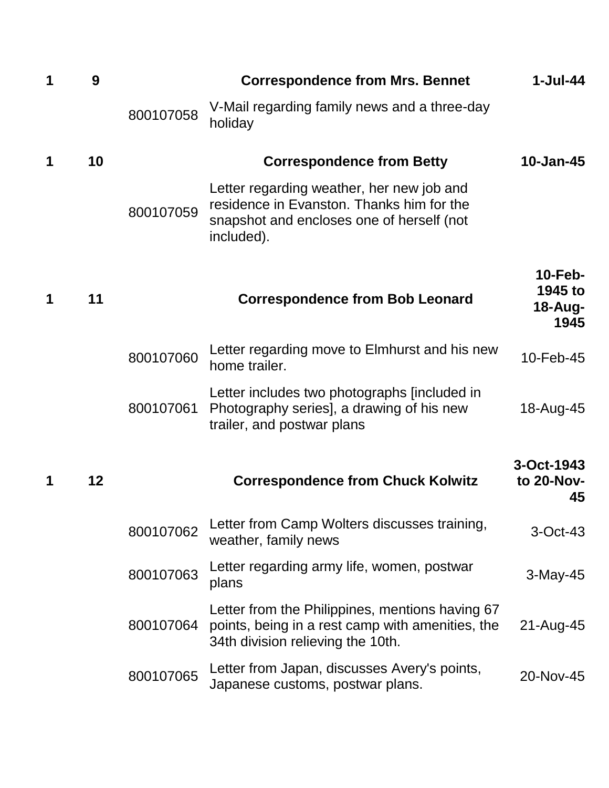| 1 | 9  |           | <b>Correspondence from Mrs. Bennet</b>                                                                                                            | $1-Jul-44$                                   |
|---|----|-----------|---------------------------------------------------------------------------------------------------------------------------------------------------|----------------------------------------------|
|   |    | 800107058 | V-Mail regarding family news and a three-day<br>holiday                                                                                           |                                              |
| 1 | 10 |           | <b>Correspondence from Betty</b>                                                                                                                  | $10 - Jan-45$                                |
|   |    | 800107059 | Letter regarding weather, her new job and<br>residence in Evanston. Thanks him for the<br>snapshot and encloses one of herself (not<br>included). |                                              |
| 1 | 11 |           | <b>Correspondence from Bob Leonard</b>                                                                                                            | $10$ -Feb-<br>1945 to<br>$18 - Aug-$<br>1945 |
|   |    | 800107060 | Letter regarding move to Elmhurst and his new<br>home trailer.                                                                                    | 10-Feb-45                                    |
|   |    | 800107061 | Letter includes two photographs [included in<br>Photography series], a drawing of his new<br>trailer, and postwar plans                           | 18-Aug-45                                    |
| 1 | 12 |           | <b>Correspondence from Chuck Kolwitz</b>                                                                                                          | 3-Oct-1943<br>to 20-Nov-<br>45               |
|   |    | 800107062 | Letter from Camp Wolters discusses training,<br>weather, family news                                                                              | $3-Oct-43$                                   |
|   |    | 800107063 | Letter regarding army life, women, postwar<br>plans                                                                                               | 3-May-45                                     |
|   |    | 800107064 | Letter from the Philippines, mentions having 67<br>points, being in a rest camp with amenities, the<br>34th division relieving the 10th.          | 21-Aug-45                                    |
|   |    | 800107065 | Letter from Japan, discusses Avery's points,<br>Japanese customs, postwar plans.                                                                  | 20-Nov-45                                    |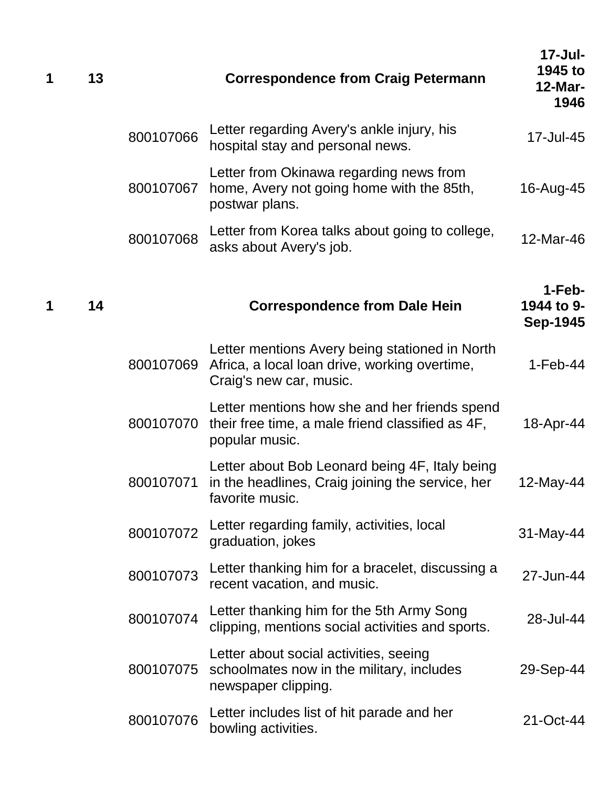| 1 | 13 |           | <b>Correspondence from Craig Petermann</b>                                                                                 | $17 -$ Jul-<br>1945 to<br><b>12-Mar-</b><br>1946 |
|---|----|-----------|----------------------------------------------------------------------------------------------------------------------------|--------------------------------------------------|
|   |    | 800107066 | Letter regarding Avery's ankle injury, his<br>hospital stay and personal news.                                             | 17-Jul-45                                        |
|   |    | 800107067 | Letter from Okinawa regarding news from<br>home, Avery not going home with the 85th,<br>postwar plans.                     | 16-Aug-45                                        |
|   |    | 800107068 | Letter from Korea talks about going to college,<br>asks about Avery's job.                                                 | 12-Mar-46                                        |
| 1 | 14 |           | <b>Correspondence from Dale Hein</b>                                                                                       | $1-Feb-$<br>1944 to 9-<br><b>Sep-1945</b>        |
|   |    | 800107069 | Letter mentions Avery being stationed in North<br>Africa, a local loan drive, working overtime,<br>Craig's new car, music. | $1-Feb-44$                                       |
|   |    | 800107070 | Letter mentions how she and her friends spend<br>their free time, a male friend classified as 4F,<br>popular music.        | 18-Apr-44                                        |
|   |    | 800107071 | Letter about Bob Leonard being 4F, Italy being<br>in the headlines, Craig joining the service, her<br>favorite music.      | 12-May-44                                        |
|   |    | 800107072 | Letter regarding family, activities, local<br>graduation, jokes                                                            | 31-May-44                                        |
|   |    | 800107073 | Letter thanking him for a bracelet, discussing a<br>recent vacation, and music.                                            | 27-Jun-44                                        |
|   |    | 800107074 | Letter thanking him for the 5th Army Song<br>clipping, mentions social activities and sports.                              | 28-Jul-44                                        |
|   |    | 800107075 | Letter about social activities, seeing<br>schoolmates now in the military, includes<br>newspaper clipping.                 | 29-Sep-44                                        |
|   |    | 800107076 | Letter includes list of hit parade and her<br>bowling activities.                                                          | 21-Oct-44                                        |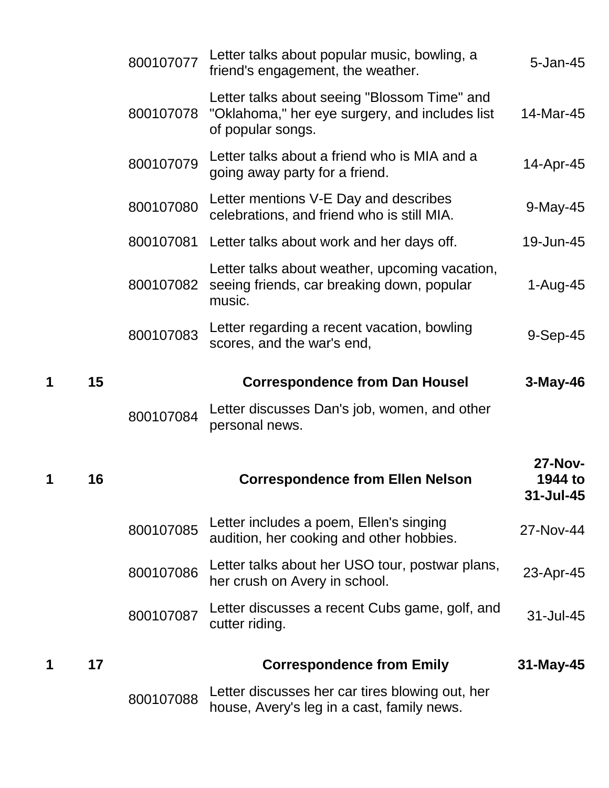|   |    | 800107077 | Letter talks about popular music, bowling, a<br>friend's engagement, the weather.                                   | $5 - Jan-45$                           |
|---|----|-----------|---------------------------------------------------------------------------------------------------------------------|----------------------------------------|
|   |    | 800107078 | Letter talks about seeing "Blossom Time" and<br>"Oklahoma," her eye surgery, and includes list<br>of popular songs. | 14-Mar-45                              |
|   |    | 800107079 | Letter talks about a friend who is MIA and a<br>going away party for a friend.                                      | 14-Apr-45                              |
|   |    | 800107080 | Letter mentions V-E Day and describes<br>celebrations, and friend who is still MIA.                                 | 9-May-45                               |
|   |    |           | 800107081 Letter talks about work and her days off.                                                                 | 19-Jun-45                              |
|   |    | 800107082 | Letter talks about weather, upcoming vacation,<br>seeing friends, car breaking down, popular<br>music.              | 1-Aug-45                               |
|   |    | 800107083 | Letter regarding a recent vacation, bowling<br>scores, and the war's end,                                           | $9-Sep-45$                             |
| 1 | 15 |           | <b>Correspondence from Dan Housel</b>                                                                               | $3-May-46$                             |
|   |    | 800107084 | Letter discusses Dan's job, women, and other<br>personal news.                                                      |                                        |
| 1 | 16 |           | <b>Correspondence from Ellen Nelson</b>                                                                             | <b>27-Nov-</b><br>1944 to<br>31-Jul-45 |
|   |    | 800107085 | Letter includes a poem, Ellen's singing<br>audition, her cooking and other hobbies.                                 | 27-Nov-44                              |
|   |    | 800107086 | Letter talks about her USO tour, postwar plans,<br>her crush on Avery in school.                                    | 23-Apr-45                              |
|   |    | 800107087 | Letter discusses a recent Cubs game, golf, and<br>cutter riding.                                                    | 31-Jul-45                              |
| 1 | 17 |           | <b>Correspondence from Emily</b>                                                                                    | 31-May-45                              |
|   |    | 800107088 | Letter discusses her car tires blowing out, her<br>house, Avery's leg in a cast, family news.                       |                                        |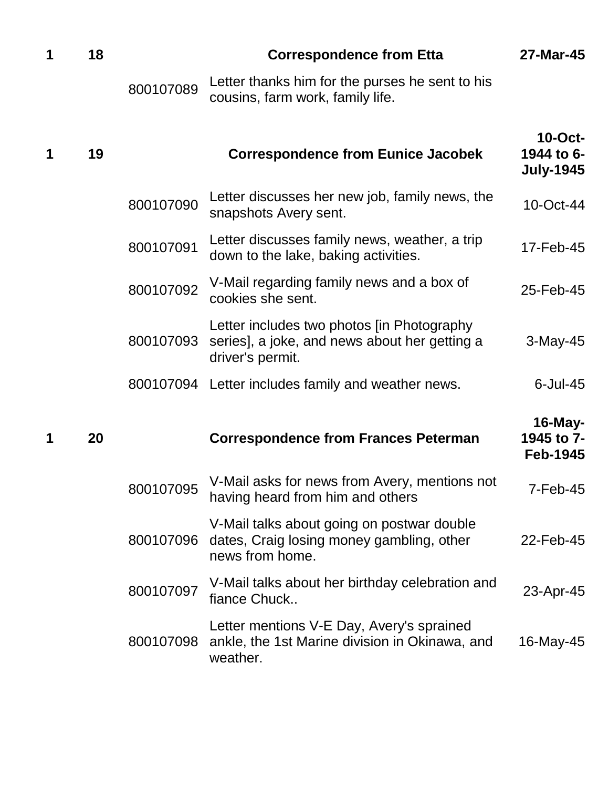| 1 | 18 |           | <b>Correspondence from Etta</b>                                                                                 | 27-Mar-45                                    |
|---|----|-----------|-----------------------------------------------------------------------------------------------------------------|----------------------------------------------|
|   |    | 800107089 | Letter thanks him for the purses he sent to his<br>cousins, farm work, family life.                             |                                              |
|   | 19 |           | <b>Correspondence from Eunice Jacobek</b>                                                                       | $10$ -Oct-<br>1944 to 6-<br><b>July-1945</b> |
|   |    | 800107090 | Letter discusses her new job, family news, the<br>snapshots Avery sent.                                         | 10-Oct-44                                    |
|   |    | 800107091 | Letter discusses family news, weather, a trip<br>down to the lake, baking activities.                           | 17-Feb-45                                    |
|   |    | 800107092 | V-Mail regarding family news and a box of<br>cookies she sent.                                                  | 25-Feb-45                                    |
|   |    | 800107093 | Letter includes two photos [in Photography<br>series], a joke, and news about her getting a<br>driver's permit. | $3-May-45$                                   |
|   |    |           | 800107094 Letter includes family and weather news.                                                              | $6$ -Jul-45                                  |
| 1 | 20 |           | <b>Correspondence from Frances Peterman</b>                                                                     | $16$ -May-<br>1945 to 7-<br><b>Feb-1945</b>  |
|   |    | 800107095 | V-Mail asks for news from Avery, mentions not<br>having heard from him and others                               | 7-Feb-45                                     |
|   |    | 800107096 | V-Mail talks about going on postwar double<br>dates, Craig losing money gambling, other<br>news from home.      | 22-Feb-45                                    |
|   |    | 800107097 | V-Mail talks about her birthday celebration and<br>fiance Chuck                                                 | 23-Apr-45                                    |
|   |    | 800107098 | Letter mentions V-E Day, Avery's sprained<br>ankle, the 1st Marine division in Okinawa, and<br>weather.         | 16-May-45                                    |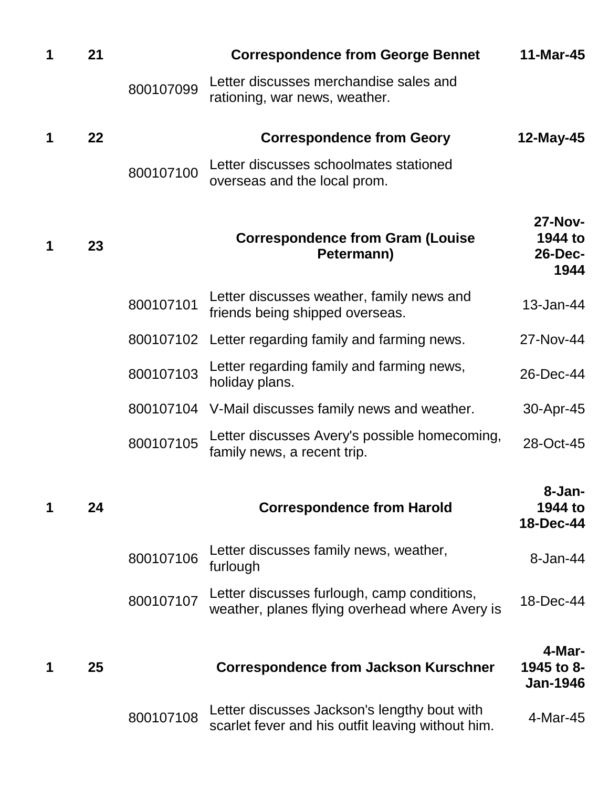| 1 | 21 |           | <b>Correspondence from George Bennet</b>                                                          | 11-Mar-45                                           |
|---|----|-----------|---------------------------------------------------------------------------------------------------|-----------------------------------------------------|
|   |    | 800107099 | Letter discusses merchandise sales and<br>rationing, war news, weather.                           |                                                     |
| 1 | 22 |           | <b>Correspondence from Geory</b>                                                                  | 12-May-45                                           |
|   |    | 800107100 | Letter discusses schoolmates stationed<br>overseas and the local prom.                            |                                                     |
| 1 | 23 |           | <b>Correspondence from Gram (Louise</b><br>Petermann)                                             | <b>27-Nov-</b><br>1944 to<br><b>26-Dec-</b><br>1944 |
|   |    | 800107101 | Letter discusses weather, family news and<br>friends being shipped overseas.                      | 13-Jan-44                                           |
|   |    |           | 800107102 Letter regarding family and farming news.                                               | 27-Nov-44                                           |
|   |    | 800107103 | Letter regarding family and farming news,<br>holiday plans.                                       | 26-Dec-44                                           |
|   |    |           | 800107104 V-Mail discusses family news and weather.                                               | 30-Apr-45                                           |
|   |    | 800107105 | Letter discusses Avery's possible homecoming,<br>family news, a recent trip.                      | 28-Oct-45                                           |
| 1 | 24 |           | <b>Correspondence from Harold</b>                                                                 | 8-Jan-<br>1944 to<br>18-Dec-44                      |
|   |    | 800107106 | Letter discusses family news, weather,<br>furlough                                                | 8-Jan-44                                            |
|   |    | 800107107 | Letter discusses furlough, camp conditions,<br>weather, planes flying overhead where Avery is     | 18-Dec-44                                           |
| 1 | 25 |           | <b>Correspondence from Jackson Kurschner</b>                                                      | 4-Mar-<br>1945 to 8-<br><b>Jan-1946</b>             |
|   |    | 800107108 | Letter discusses Jackson's lengthy bout with<br>scarlet fever and his outfit leaving without him. | 4-Mar-45                                            |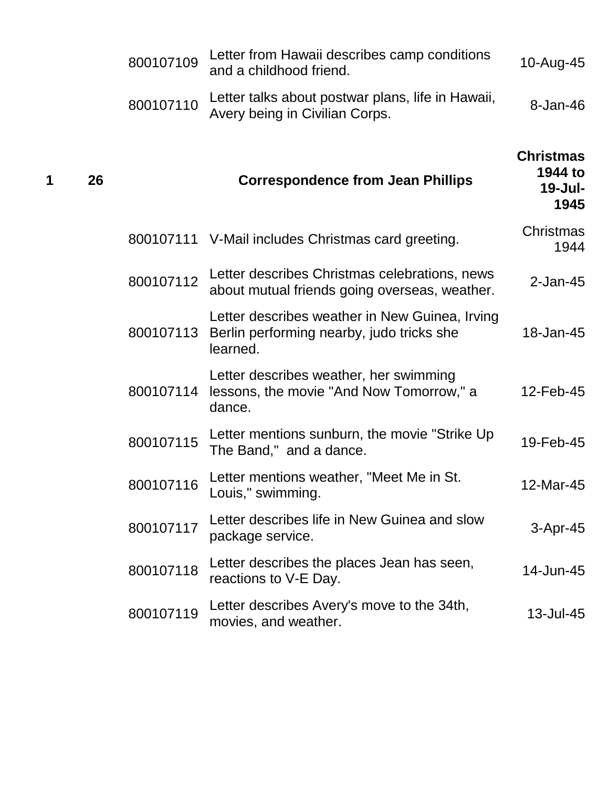|   |    | 800107109 | Letter from Hawaii describes camp conditions<br>and a childhood friend.                                 | 10-Aug-45                                         |
|---|----|-----------|---------------------------------------------------------------------------------------------------------|---------------------------------------------------|
|   |    | 800107110 | Letter talks about postwar plans, life in Hawaii,<br>Avery being in Civilian Corps.                     | $8 - Jan-46$                                      |
| 1 | 26 |           | <b>Correspondence from Jean Phillips</b>                                                                | <b>Christmas</b><br>1944 to<br>$19$ -Jul-<br>1945 |
|   |    |           | 800107111 V-Mail includes Christmas card greeting.                                                      | Christmas<br>1944                                 |
|   |    | 800107112 | Letter describes Christmas celebrations, news<br>about mutual friends going overseas, weather.          | $2$ -Jan-45                                       |
|   |    | 800107113 | Letter describes weather in New Guinea, Irving<br>Berlin performing nearby, judo tricks she<br>learned. | 18-Jan-45                                         |
|   |    | 800107114 | Letter describes weather, her swimming<br>lessons, the movie "And Now Tomorrow," a<br>dance.            | 12-Feb-45                                         |
|   |    | 800107115 | Letter mentions sunburn, the movie "Strike Up<br>The Band," and a dance.                                | 19-Feb-45                                         |
|   |    | 800107116 | Letter mentions weather, "Meet Me in St.<br>Louis," swimming.                                           | 12-Mar-45                                         |
|   |    | 800107117 | Letter describes life in New Guinea and slow<br>package service.                                        | 3-Apr-45                                          |
|   |    | 800107118 | Letter describes the places Jean has seen,<br>reactions to V-E Day.                                     | 14-Jun-45                                         |
|   |    | 800107119 | Letter describes Avery's move to the 34th,<br>movies, and weather.                                      | 13-Jul-45                                         |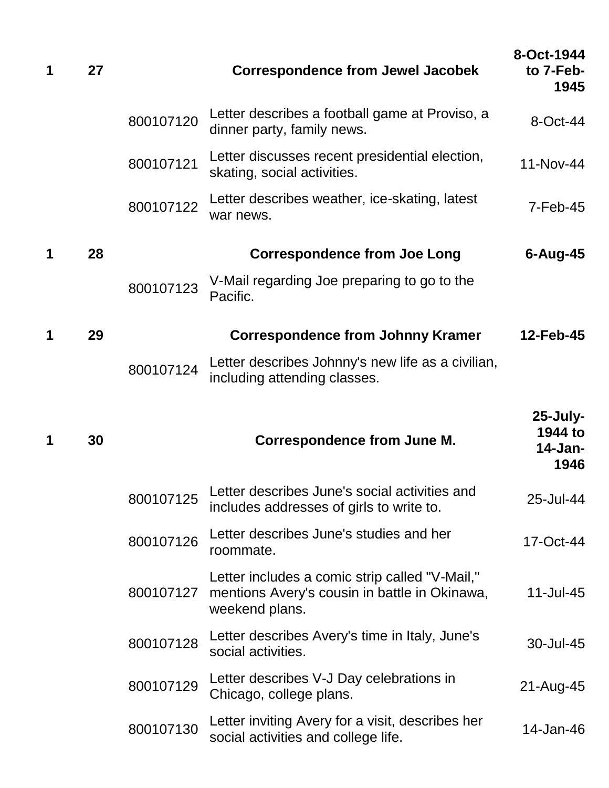| 1 | 27 |           | <b>Correspondence from Jewel Jacobek</b>                                                  | 8-Oct-1944<br>to 7-Feb-<br>1945              |
|---|----|-----------|-------------------------------------------------------------------------------------------|----------------------------------------------|
|   |    | 800107120 | Letter describes a football game at Proviso, a<br>dinner party, family news.              | 8-Oct-44                                     |
|   |    | 800107121 | Letter discusses recent presidential election,<br>skating, social activities.             | 11-Nov-44                                    |
|   |    | 800107122 | Letter describes weather, ice-skating, latest<br>war news.                                | $7-Feb-45$                                   |
| 1 | 28 |           | <b>Correspondence from Joe Long</b>                                                       | $6 - Aug-45$                                 |
|   |    | 800107123 | V-Mail regarding Joe preparing to go to the<br>Pacific.                                   |                                              |
| 1 | 29 |           | <b>Correspondence from Johnny Kramer</b>                                                  | 12-Feb-45                                    |
|   |    | 800107124 | Letter describes Johnny's new life as a civilian,<br>including attending classes.         |                                              |
| 1 | 30 |           | <b>Correspondence from June M.</b>                                                        | $25$ -July-<br>1944 to<br>$14$ -Jan-<br>1946 |
|   |    | 800107125 | Letter describes June's social activities and<br>includes addresses of girls to write to. | 25-Jul-44                                    |
|   |    | 800107126 | Letter describes June's studies and her<br>roommate.                                      | 17-Oct-44                                    |
|   |    |           | Letter includes a comic strip called "V-Mail,"                                            |                                              |
|   |    | 800107127 | mentions Avery's cousin in battle in Okinawa,<br>weekend plans.                           | 11-Jul-45                                    |
|   |    | 800107128 | Letter describes Avery's time in Italy, June's<br>social activities.                      | 30-Jul-45                                    |
|   |    | 800107129 | Letter describes V-J Day celebrations in<br>Chicago, college plans.                       | 21-Aug-45                                    |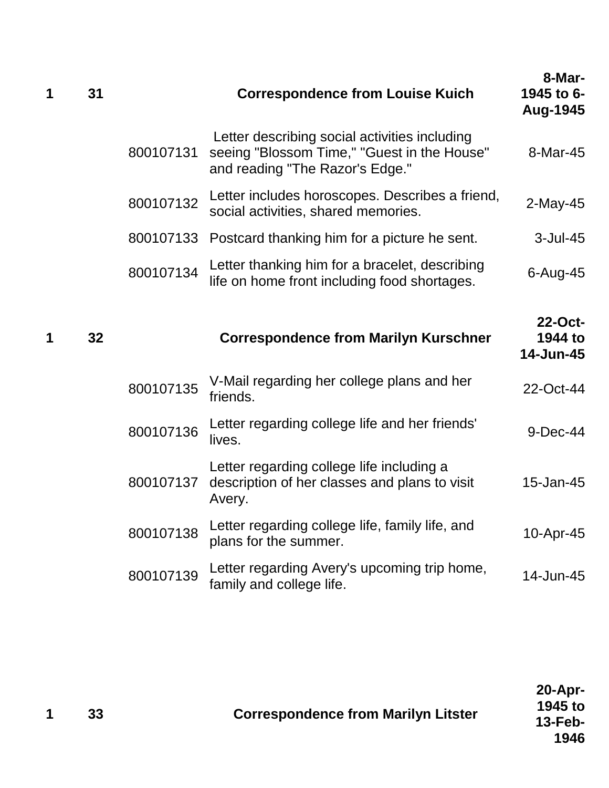| 1 | 31 |           | <b>Correspondence from Louise Kuich</b>                                                                                         | 8-Mar-<br>1945 to 6-<br>Aug-1945 |
|---|----|-----------|---------------------------------------------------------------------------------------------------------------------------------|----------------------------------|
|   |    | 800107131 | Letter describing social activities including<br>seeing "Blossom Time," "Guest in the House"<br>and reading "The Razor's Edge." | 8-Mar-45                         |
|   |    | 800107132 | Letter includes horoscopes. Describes a friend,<br>social activities, shared memories.                                          | $2$ -May-45                      |
|   |    | 800107133 | Postcard thanking him for a picture he sent.                                                                                    | $3$ -Jul-45                      |
|   |    | 800107134 | Letter thanking him for a bracelet, describing<br>life on home front including food shortages.                                  | $6 - Aug-45$                     |
| 1 | 32 |           | <b>Correspondence from Marilyn Kurschner</b>                                                                                    | 22-Oct-<br>1944 to<br>14-Jun-45  |
|   |    | 800107135 | V-Mail regarding her college plans and her<br>friends.                                                                          | 22-Oct-44                        |
|   |    | 800107136 | Letter regarding college life and her friends'<br>lives.                                                                        | 9-Dec-44                         |
|   |    | 800107137 | Letter regarding college life including a<br>description of her classes and plans to visit<br>Avery.                            | 15-Jan-45                        |
|   |    | 800107138 | Letter regarding college life, family life, and                                                                                 | 10-Apr-45                        |
|   |    |           | plans for the summer.                                                                                                           |                                  |
|   |    | 800107139 | Letter regarding Avery's upcoming trip home,<br>family and college life.                                                        | 14-Jun-45                        |

| 1945 to<br>$13$ -Feb-<br>1946 |
|-------------------------------|
|                               |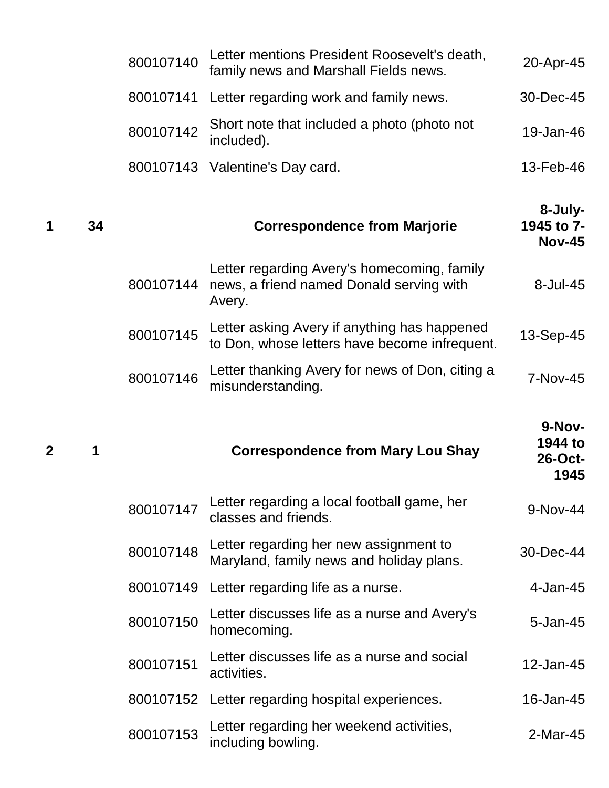|   |    | 800107140 | Letter mentions President Roosevelt's death,<br>family news and Marshall Fields news.             | 20-Apr-45                                   |
|---|----|-----------|---------------------------------------------------------------------------------------------------|---------------------------------------------|
|   |    | 800107141 | Letter regarding work and family news.                                                            | 30-Dec-45                                   |
|   |    | 800107142 | Short note that included a photo (photo not<br>included).                                         | 19-Jan-46                                   |
|   |    |           | 800107143 Valentine's Day card.                                                                   | 13-Feb-46                                   |
| 1 | 34 |           | <b>Correspondence from Marjorie</b>                                                               | 8-July-<br>1945 to 7-<br><b>Nov-45</b>      |
|   |    | 800107144 | Letter regarding Avery's homecoming, family<br>news, a friend named Donald serving with<br>Avery. | 8-Jul-45                                    |
|   |    | 800107145 | Letter asking Avery if anything has happened<br>to Don, whose letters have become infrequent.     | 13-Sep-45                                   |
|   |    | 800107146 | Letter thanking Avery for news of Don, citing a<br>misunderstanding.                              | 7-Nov-45                                    |
|   |    |           |                                                                                                   |                                             |
| 2 | 1  |           | <b>Correspondence from Mary Lou Shay</b>                                                          | 9-Nov-<br>1944 to<br><b>26-Oct-</b><br>1945 |
|   |    | 800107147 | Letter regarding a local football game, her<br>classes and friends.                               | 9-Nov-44                                    |
|   |    | 800107148 | Letter regarding her new assignment to<br>Maryland, family news and holiday plans.                | 30-Dec-44                                   |
|   |    | 800107149 | Letter regarding life as a nurse.                                                                 | 4-Jan-45                                    |
|   |    | 800107150 | Letter discusses life as a nurse and Avery's<br>homecoming.                                       | 5-Jan-45                                    |
|   |    | 800107151 | Letter discusses life as a nurse and social<br>activities.                                        | 12-Jan-45                                   |
|   |    | 800107152 | Letter regarding hospital experiences.                                                            | 16-Jan-45                                   |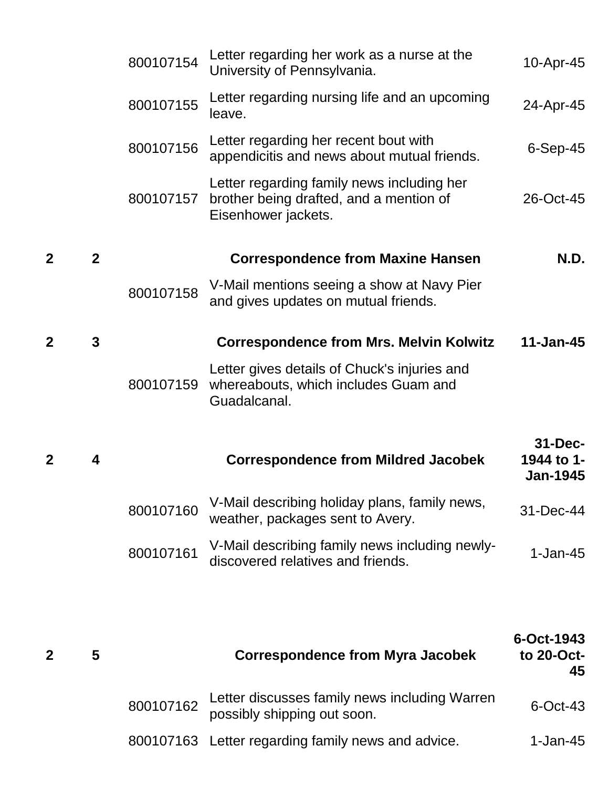|                |              | 800107154 | Letter regarding her work as a nurse at the<br>University of Pennsylvania.                                   | 10-Apr-45                                    |
|----------------|--------------|-----------|--------------------------------------------------------------------------------------------------------------|----------------------------------------------|
|                |              | 800107155 | Letter regarding nursing life and an upcoming<br>leave.                                                      | 24-Apr-45                                    |
|                |              | 800107156 | Letter regarding her recent bout with<br>appendicitis and news about mutual friends.                         | $6-Sep-45$                                   |
|                |              | 800107157 | Letter regarding family news including her<br>brother being drafted, and a mention of<br>Eisenhower jackets. | 26-Oct-45                                    |
| $\overline{2}$ | $\mathbf{2}$ |           | <b>Correspondence from Maxine Hansen</b>                                                                     | <b>N.D.</b>                                  |
|                |              | 800107158 | V-Mail mentions seeing a show at Navy Pier<br>and gives updates on mutual friends.                           |                                              |
| $\mathbf 2$    | $\mathbf{3}$ |           | <b>Correspondence from Mrs. Melvin Kolwitz</b>                                                               | $11 - Jan-45$                                |
|                |              | 800107159 | Letter gives details of Chuck's injuries and<br>whereabouts, which includes Guam and<br>Guadalcanal.         |                                              |
| $\mathbf 2$    | 4            |           | <b>Correspondence from Mildred Jacobek</b>                                                                   | $31 - Dec-$<br>1944 to 1-<br><b>Jan-1945</b> |
|                |              | 800107160 | V-Mail describing holiday plans, family news,<br>weather, packages sent to Avery.                            | 31-Dec-44                                    |
|                |              | 800107161 | V-Mail describing family news including newly-<br>discovered relatives and friends.                          | $1-Jan-45$                                   |
|                |              |           |                                                                                                              |                                              |
| 2              | 5            |           | <b>Correspondence from Myra Jacobek</b>                                                                      | 6-Oct-1943<br>to 20-Oct-<br>45               |
|                |              | 800107162 | Letter discusses family news including Warren<br>possibly shipping out soon.                                 | $6$ -Oct-43                                  |

800107163 Letter regarding family news and advice. 1-Jan-45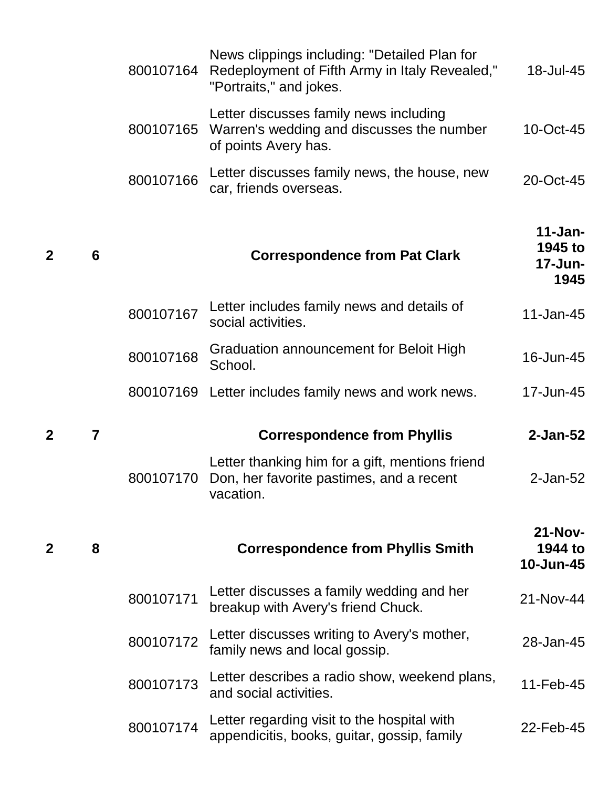|              |   | 800107164 | News clippings including: "Detailed Plan for<br>Redeployment of Fifth Army in Italy Revealed,"<br>"Portraits," and jokes. | 18-Jul-45                                 |
|--------------|---|-----------|---------------------------------------------------------------------------------------------------------------------------|-------------------------------------------|
|              |   | 800107165 | Letter discusses family news including<br>Warren's wedding and discusses the number<br>of points Avery has.               | 10-Oct-45                                 |
|              |   | 800107166 | Letter discusses family news, the house, new<br>car, friends overseas.                                                    | 20-Oct-45                                 |
| $\mathbf{2}$ | 6 |           | <b>Correspondence from Pat Clark</b>                                                                                      | $11 - Jan-$<br>1945 to<br>17-Jun-<br>1945 |
|              |   | 800107167 | Letter includes family news and details of<br>social activities.                                                          | 11-Jan-45                                 |
|              |   | 800107168 | Graduation announcement for Beloit High<br>School.                                                                        | 16-Jun-45                                 |
|              |   |           | 800107169 Letter includes family news and work news.                                                                      | 17-Jun-45                                 |
| $\mathbf 2$  | 7 |           | <b>Correspondence from Phyllis</b>                                                                                        | $2$ -Jan-52                               |
|              |   | 800107170 | Letter thanking him for a gift, mentions friend<br>Don, her favorite pastimes, and a recent<br>vacation.                  | $2$ -Jan-52                               |
| $\mathbf{2}$ | 8 |           | <b>Correspondence from Phyllis Smith</b>                                                                                  | $21-Nov-$<br>1944 to<br>10-Jun-45         |
|              |   | 800107171 | Letter discusses a family wedding and her<br>breakup with Avery's friend Chuck.                                           | 21-Nov-44                                 |
|              |   | 800107172 | Letter discusses writing to Avery's mother,<br>family news and local gossip.                                              | 28-Jan-45                                 |
|              |   | 800107173 | Letter describes a radio show, weekend plans,<br>and social activities.                                                   | 11-Feb-45                                 |
|              |   | 800107174 | Letter regarding visit to the hospital with<br>appendicitis, books, guitar, gossip, family                                | 22-Feb-45                                 |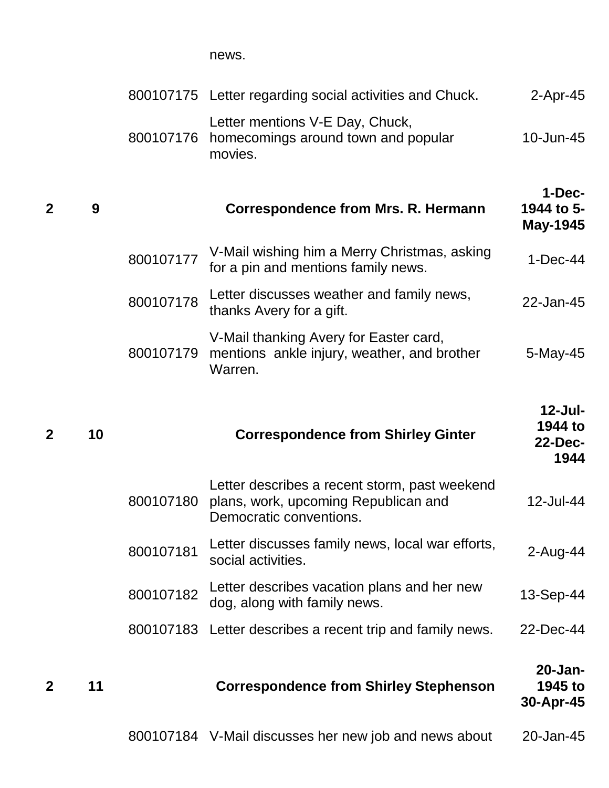news.

|                |    |           | 800107175 Letter regarding social activities and Chuck.                                                          | $2$ -Apr-45                                     |
|----------------|----|-----------|------------------------------------------------------------------------------------------------------------------|-------------------------------------------------|
|                |    | 800107176 | Letter mentions V-E Day, Chuck,<br>homecomings around town and popular<br>movies.                                | 10-Jun-45                                       |
| $\overline{2}$ | 9  |           | Correspondence from Mrs. R. Hermann                                                                              | 1-Dec-<br>1944 to 5-<br>May-1945                |
|                |    | 800107177 | V-Mail wishing him a Merry Christmas, asking<br>for a pin and mentions family news.                              | $1-Dec-44$                                      |
|                |    | 800107178 | Letter discusses weather and family news,<br>thanks Avery for a gift.                                            | 22-Jan-45                                       |
|                |    | 800107179 | V-Mail thanking Avery for Easter card,<br>mentions ankle injury, weather, and brother<br>Warren.                 | $5$ -May-45                                     |
| $\overline{2}$ | 10 |           | <b>Correspondence from Shirley Ginter</b>                                                                        | $12$ -Jul-<br>1944 to<br><b>22-Dec-</b><br>1944 |
|                |    | 800107180 | Letter describes a recent storm, past weekend<br>plans, work, upcoming Republican and<br>Democratic conventions. | 12-Jul-44                                       |
|                |    | 800107181 | Letter discusses family news, local war efforts,<br>social activities.                                           | $2$ -Aug-44                                     |
|                |    | 800107182 | Letter describes vacation plans and her new<br>dog, along with family news.                                      | 13-Sep-44                                       |
|                |    | 800107183 | Letter describes a recent trip and family news.                                                                  | 22-Dec-44                                       |
| $\overline{2}$ | 11 |           | <b>Correspondence from Shirley Stephenson</b>                                                                    | 20-Jan-<br>1945 to<br>30-Apr-45                 |
|                |    |           | 800107184 V-Mail discusses her new job and news about                                                            | 20-Jan-45                                       |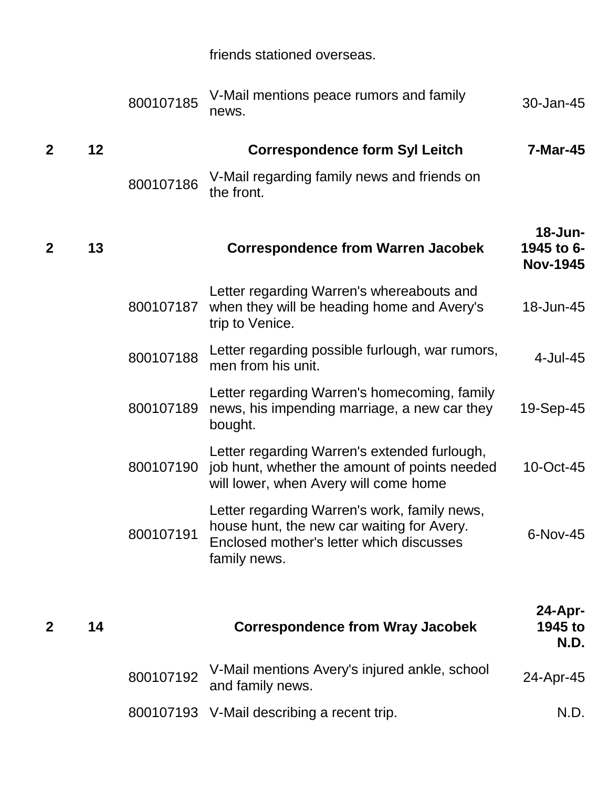|  | friends stationed overseas. |
|--|-----------------------------|
|  |                             |

|              |    | 800107185 | V-Mail mentions peace rumors and family<br>news.                                                                                                       | 30-Jan-45                                |
|--------------|----|-----------|--------------------------------------------------------------------------------------------------------------------------------------------------------|------------------------------------------|
| $\mathbf{2}$ | 12 |           | <b>Correspondence form Syl Leitch</b>                                                                                                                  | 7-Mar-45                                 |
|              |    | 800107186 | V-Mail regarding family news and friends on<br>the front.                                                                                              |                                          |
| $\mathbf{2}$ | 13 |           | <b>Correspondence from Warren Jacobek</b>                                                                                                              | 18-Jun-<br>1945 to 6-<br><b>Nov-1945</b> |
|              |    | 800107187 | Letter regarding Warren's whereabouts and<br>when they will be heading home and Avery's<br>trip to Venice.                                             | 18-Jun-45                                |
|              |    | 800107188 | Letter regarding possible furlough, war rumors,<br>men from his unit.                                                                                  | 4-Jul-45                                 |
|              |    | 800107189 | Letter regarding Warren's homecoming, family<br>news, his impending marriage, a new car they<br>bought.                                                | 19-Sep-45                                |
|              |    | 800107190 | Letter regarding Warren's extended furlough,<br>job hunt, whether the amount of points needed<br>will lower, when Avery will come home                 | 10-Oct-45                                |
|              |    | 800107191 | Letter regarding Warren's work, family news,<br>house hunt, the new car waiting for Avery.<br>Enclosed mother's letter which discusses<br>family news. | 6-Nov-45                                 |
| $\mathbf{2}$ | 14 |           | <b>Correspondence from Wray Jacobek</b>                                                                                                                | $24$ -Apr-<br>1945 to<br>N.D.            |
|              |    | 800107192 | V-Mail mentions Avery's injured ankle, school<br>and family news.                                                                                      | 24-Apr-45                                |
|              |    | 800107193 | V-Mail describing a recent trip.                                                                                                                       | N.D.                                     |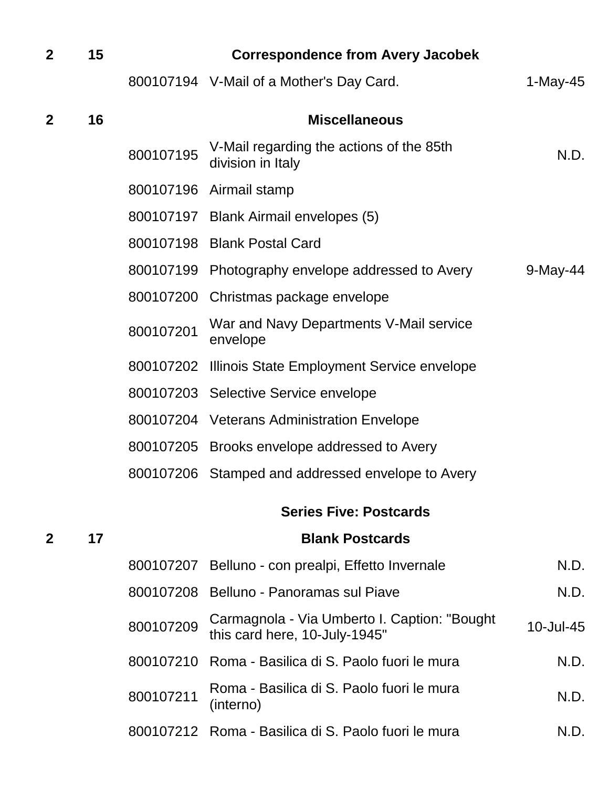| $\mathbf{2}$ | 15 |           | <b>Correspondence from Avery Jacobek</b>                                       |             |
|--------------|----|-----------|--------------------------------------------------------------------------------|-------------|
|              |    |           | 800107194 V-Mail of a Mother's Day Card.                                       | 1-May-45    |
| $\mathbf{2}$ | 16 |           | <b>Miscellaneous</b>                                                           |             |
|              |    | 800107195 | V-Mail regarding the actions of the 85th<br>division in Italy                  | N.D.        |
|              |    |           | 800107196 Airmail stamp                                                        |             |
|              |    |           | 800107197 Blank Airmail envelopes (5)                                          |             |
|              |    | 800107198 | <b>Blank Postal Card</b>                                                       |             |
|              |    | 800107199 | Photography envelope addressed to Avery                                        | $9$ -May-44 |
|              |    | 800107200 | Christmas package envelope                                                     |             |
|              |    | 800107201 | War and Navy Departments V-Mail service<br>envelope                            |             |
|              |    |           | 800107202 Illinois State Employment Service envelope                           |             |
|              |    |           | 800107203 Selective Service envelope                                           |             |
|              |    |           | 800107204 Veterans Administration Envelope                                     |             |
|              |    | 800107205 | Brooks envelope addressed to Avery                                             |             |
|              |    |           | 800107206 Stamped and addressed envelope to Avery                              |             |
|              |    |           | <b>Series Five: Postcards</b>                                                  |             |
| $\mathbf{2}$ | 17 |           | <b>Blank Postcards</b>                                                         |             |
|              |    |           | 800107207 Belluno - con prealpi, Effetto Invernale                             | N.D.        |
|              |    |           | 800107208 Belluno - Panoramas sul Piave                                        | N.D.        |
|              |    | 800107209 | Carmagnola - Via Umberto I. Caption: "Bought"<br>this card here, 10-July-1945" | 10-Jul-45   |
|              |    | 800107210 | Roma - Basilica di S. Paolo fuori le mura                                      | N.D.        |
|              |    | 800107211 | Roma - Basilica di S. Paolo fuori le mura<br>(interno)                         | N.D.        |

800107212 Roma - Basilica di S. Paolo fuori le mura N.D.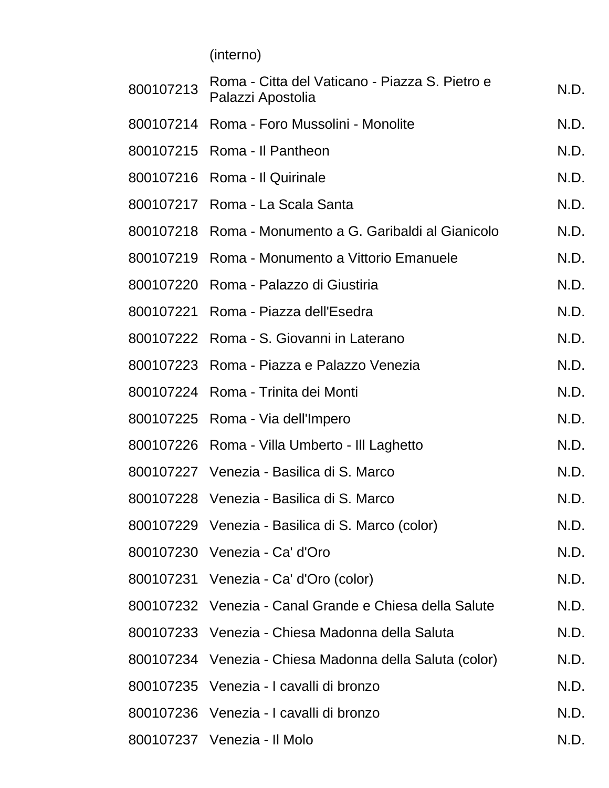(interno)

| 800107213 | Roma - Citta del Vaticano - Piazza S. Pietro e<br>Palazzi Apostolia | N.D. |
|-----------|---------------------------------------------------------------------|------|
|           | 800107214 Roma - Foro Mussolini - Monolite                          | N.D. |
|           | 800107215 Roma - Il Pantheon                                        | N.D. |
|           | 800107216 Roma - Il Quirinale                                       | N.D. |
|           | 800107217 Roma - La Scala Santa                                     | N.D. |
|           | 800107218 Roma - Monumento a G. Garibaldi al Gianicolo              | N.D. |
|           | 800107219 Roma - Monumento a Vittorio Emanuele                      | N.D. |
|           | 800107220 Roma - Palazzo di Giustiria                               | N.D. |
|           | 800107221 Roma - Piazza dell'Esedra                                 | N.D. |
|           | 800107222 Roma - S. Giovanni in Laterano                            | N.D. |
|           | 800107223 Roma - Piazza e Palazzo Venezia                           | N.D. |
|           | 800107224 Roma - Trinita dei Monti                                  | N.D. |
|           | 800107225 Roma - Via dell'Impero                                    | N.D. |
|           | 800107226 Roma - Villa Umberto - Ill Laghetto                       | N.D. |
|           | 800107227 Venezia - Basilica di S. Marco                            | N.D. |
|           | 800107228 Venezia - Basilica di S. Marco                            | N.D. |
|           | 800107229 Venezia - Basilica di S. Marco (color)                    | N.D. |
|           | 800107230 Venezia - Ca' d'Oro                                       | N.D. |
|           | 800107231 Venezia - Ca' d'Oro (color)                               | N.D. |
|           | 800107232 Venezia - Canal Grande e Chiesa della Salute              | N.D. |
|           | 800107233 Venezia - Chiesa Madonna della Saluta                     | N.D. |
|           | 800107234 Venezia - Chiesa Madonna della Saluta (color)             | N.D. |
|           | 800107235 Venezia - I cavalli di bronzo                             | N.D. |
|           | 800107236 Venezia - I cavalli di bronzo                             | N.D. |
|           | 800107237 Venezia - Il Molo                                         | N.D. |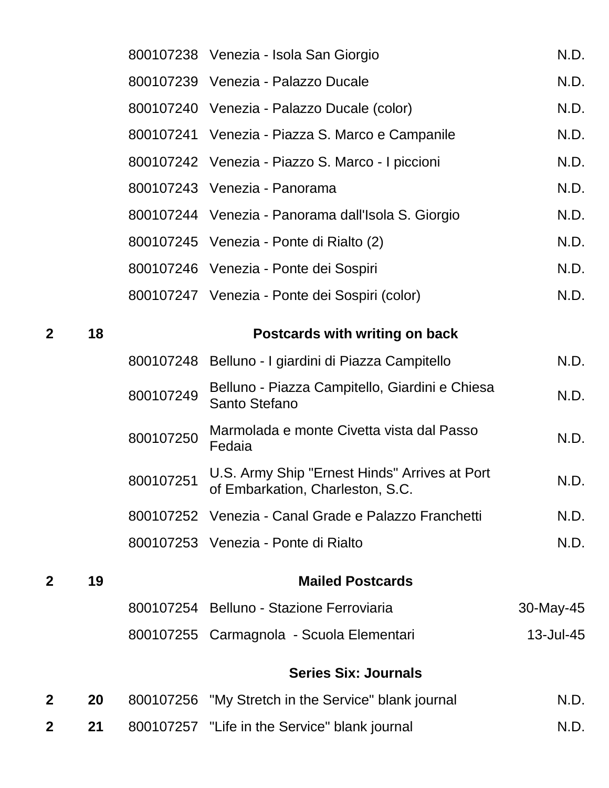|                  |    |           | 800107238 Venezia - Isola San Giorgio                                             | N.D.      |
|------------------|----|-----------|-----------------------------------------------------------------------------------|-----------|
|                  |    |           | 800107239 Venezia - Palazzo Ducale                                                | N.D.      |
|                  |    |           | 800107240 Venezia - Palazzo Ducale (color)                                        | N.D.      |
|                  |    |           | 800107241 Venezia - Piazza S. Marco e Campanile                                   | N.D.      |
|                  |    |           | 800107242 Venezia - Piazzo S. Marco - I piccioni                                  | N.D.      |
|                  |    |           | 800107243 Venezia - Panorama                                                      | N.D.      |
|                  |    |           | 800107244 Venezia - Panorama dall'Isola S. Giorgio                                | N.D.      |
|                  |    |           | 800107245 Venezia - Ponte di Rialto (2)                                           | N.D.      |
|                  |    |           | 800107246 Venezia - Ponte dei Sospiri                                             | N.D.      |
|                  |    |           | 800107247 Venezia - Ponte dei Sospiri (color)                                     | N.D.      |
| $\mathbf{2}$     | 18 |           | Postcards with writing on back                                                    |           |
|                  |    |           | 800107248 Belluno - I giardini di Piazza Campitello                               | N.D.      |
|                  |    | 800107249 | Belluno - Piazza Campitello, Giardini e Chiesa<br>Santo Stefano                   | N.D.      |
|                  |    | 800107250 | Marmolada e monte Civetta vista dal Passo<br>Fedaia                               | N.D.      |
|                  |    | 800107251 | U.S. Army Ship "Ernest Hinds" Arrives at Port<br>of Embarkation, Charleston, S.C. | N.D.      |
|                  |    |           | 800107252 Venezia - Canal Grade e Palazzo Franchetti                              | N.D.      |
|                  |    |           | 800107253 Venezia - Ponte di Rialto                                               | N.D.      |
| $\mathbf{2}$     | 19 |           | <b>Mailed Postcards</b>                                                           |           |
|                  |    |           | 800107254 Belluno - Stazione Ferroviaria                                          | 30-May-45 |
|                  |    |           | 800107255 Carmagnola - Scuola Elementari                                          | 13-Jul-45 |
|                  |    |           | <b>Series Six: Journals</b>                                                       |           |
| $\boldsymbol{2}$ | 20 |           | 800107256 "My Stretch in the Service" blank journal                               | N.D.      |
| $\mathbf 2$      | 21 |           | 800107257 "Life in the Service" blank journal                                     | N.D.      |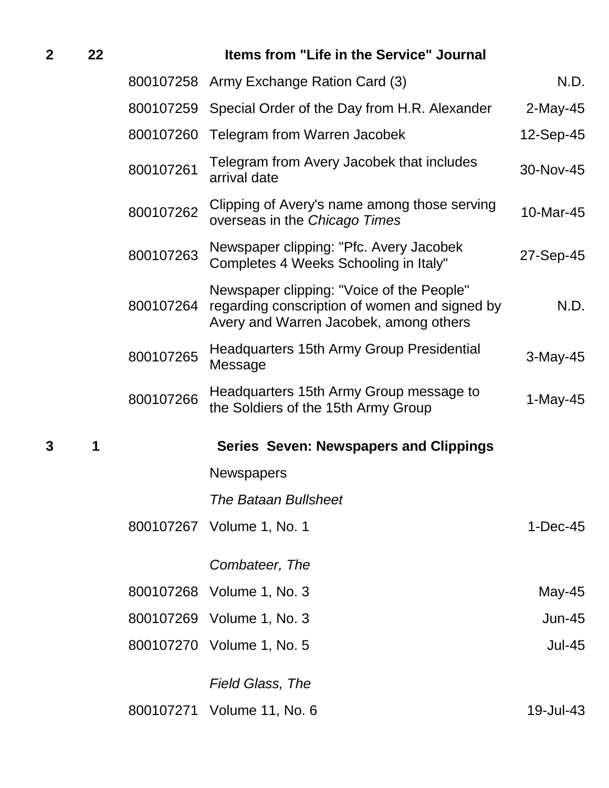| $\mathbf{2}$ | 22 |           | Items from "Life in the Service" Journal                                                                                             |               |
|--------------|----|-----------|--------------------------------------------------------------------------------------------------------------------------------------|---------------|
|              |    |           | 800107258 Army Exchange Ration Card (3)                                                                                              | N.D.          |
|              |    | 800107259 | Special Order of the Day from H.R. Alexander                                                                                         | $2$ -May-45   |
|              |    | 800107260 | <b>Telegram from Warren Jacobek</b>                                                                                                  | 12-Sep-45     |
|              |    | 800107261 | Telegram from Avery Jacobek that includes<br>arrival date                                                                            | 30-Nov-45     |
|              |    | 800107262 | Clipping of Avery's name among those serving<br>overseas in the Chicago Times                                                        | 10-Mar-45     |
|              |    | 800107263 | Newspaper clipping: "Pfc. Avery Jacobek<br>Completes 4 Weeks Schooling in Italy"                                                     | 27-Sep-45     |
|              |    | 800107264 | Newspaper clipping: "Voice of the People"<br>regarding conscription of women and signed by<br>Avery and Warren Jacobek, among others | N.D.          |
|              |    | 800107265 | Headquarters 15th Army Group Presidential<br>Message                                                                                 | $3-May-45$    |
|              |    | 800107266 | Headquarters 15th Army Group message to<br>the Soldiers of the 15th Army Group                                                       | 1-May-45      |
| 3            | 1  |           | <b>Series Seven: Newspapers and Clippings</b>                                                                                        |               |
|              |    |           | <b>Newspapers</b>                                                                                                                    |               |
|              |    |           | <b>The Bataan Bullsheet</b>                                                                                                          |               |
|              |    |           | 800107267 Volume 1, No. 1                                                                                                            | $1-Dec-45$    |
|              |    |           | Combateer, The                                                                                                                       |               |
|              |    |           | 800107268 Volume 1, No. 3                                                                                                            | May-45        |
|              |    |           | 800107269 Volume 1, No. 3                                                                                                            | $Jun-45$      |
|              |    |           | 800107270 Volume 1, No. 5                                                                                                            | <b>Jul-45</b> |
|              |    |           | <b>Field Glass, The</b>                                                                                                              |               |
|              |    |           | 800107271 Volume 11, No. 6                                                                                                           | 19-Jul-43     |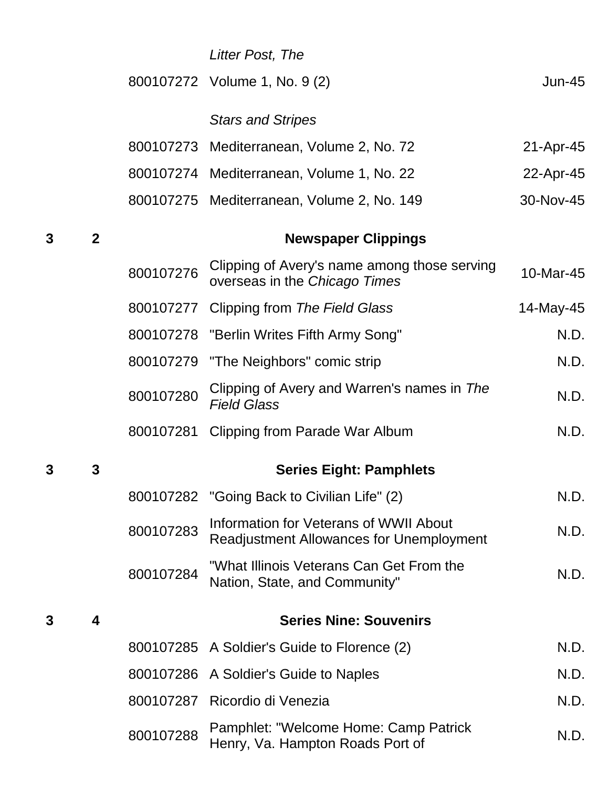|   |              |           | Litter Post, The                                                                          |           |
|---|--------------|-----------|-------------------------------------------------------------------------------------------|-----------|
|   |              |           | 800107272 Volume 1, No. 9 (2)                                                             | $Jun-45$  |
|   |              |           | <b>Stars and Stripes</b>                                                                  |           |
|   |              |           | 800107273 Mediterranean, Volume 2, No. 72                                                 | 21-Apr-45 |
|   |              |           | 800107274 Mediterranean, Volume 1, No. 22                                                 | 22-Apr-45 |
|   |              |           | 800107275 Mediterranean, Volume 2, No. 149                                                | 30-Nov-45 |
| 3 | $\mathbf{2}$ |           | <b>Newspaper Clippings</b>                                                                |           |
|   |              | 800107276 | Clipping of Avery's name among those serving<br>overseas in the Chicago Times             | 10-Mar-45 |
|   |              |           | 800107277 Clipping from The Field Glass                                                   | 14-May-45 |
|   |              |           | 800107278 "Berlin Writes Fifth Army Song"                                                 | N.D.      |
|   |              | 800107279 | "The Neighbors" comic strip                                                               | N.D.      |
|   |              | 800107280 | Clipping of Avery and Warren's names in The<br><b>Field Glass</b>                         | N.D.      |
|   |              | 800107281 | Clipping from Parade War Album                                                            | N.D.      |
| 3 | 3            |           | <b>Series Eight: Pamphlets</b>                                                            |           |
|   |              |           | 800107282 "Going Back to Civilian Life" (2)                                               | N.D.      |
|   |              | 800107283 | Information for Veterans of WWII About<br><b>Readjustment Allowances for Unemployment</b> | N.D.      |
|   |              | 800107284 | "What Illinois Veterans Can Get From the<br>Nation, State, and Community"                 | N.D.      |
| 3 | 4            |           | <b>Series Nine: Souvenirs</b>                                                             |           |
|   |              |           | 800107285 A Soldier's Guide to Florence (2)                                               | N.D.      |
|   |              |           | 800107286 A Soldier's Guide to Naples                                                     | N.D.      |
|   |              |           | 800107287 Ricordio di Venezia                                                             | N.D.      |
|   |              | 800107288 | Pamphlet: "Welcome Home: Camp Patrick<br>Henry, Va. Hampton Roads Port of                 | N.D.      |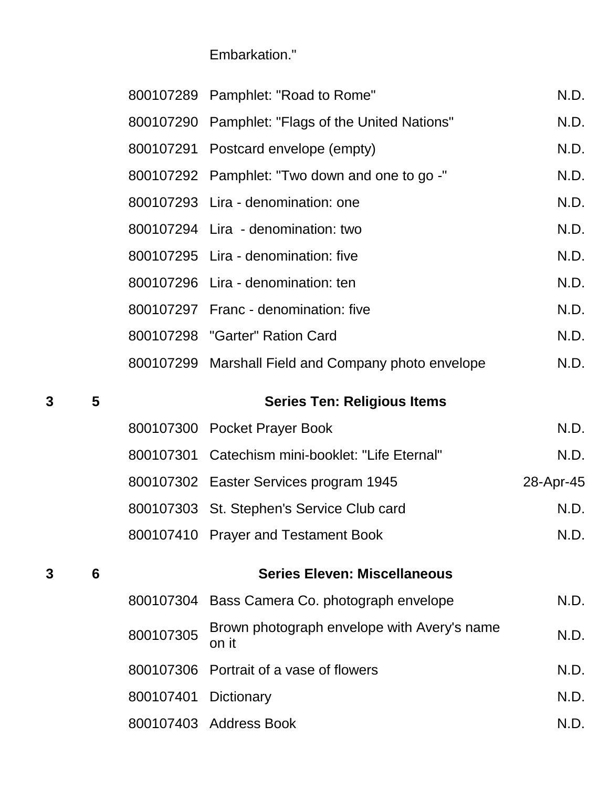Embarkation."

|   |                 |           | 800107289 Pamphlet: "Road to Rome"                   | N.D.      |
|---|-----------------|-----------|------------------------------------------------------|-----------|
|   |                 |           | 800107290 Pamphlet: "Flags of the United Nations"    | N.D.      |
|   |                 |           | 800107291 Postcard envelope (empty)                  | N.D.      |
|   |                 |           | 800107292 Pamphlet: "Two down and one to go -"       | N.D.      |
|   |                 |           | 800107293 Lira - denomination: one                   | N.D.      |
|   |                 |           | 800107294 Lira - denomination: two                   | N.D.      |
|   |                 |           | 800107295 Lira - denomination: five                  | N.D.      |
|   |                 |           | 800107296 Lira - denomination: ten                   | N.D.      |
|   |                 |           | 800107297 Franc - denomination: five                 | N.D.      |
|   |                 |           | 800107298 "Garter" Ration Card                       | N.D.      |
|   |                 |           | 800107299 Marshall Field and Company photo envelope  | N.D.      |
| 3 | 5               |           | <b>Series Ten: Religious Items</b>                   |           |
|   |                 |           | 800107300 Pocket Prayer Book                         | N.D.      |
|   |                 |           | 800107301 Catechism mini-booklet: "Life Eternal"     | N.D.      |
|   |                 |           | 800107302 Easter Services program 1945               | 28-Apr-45 |
|   |                 |           | 800107303 St. Stephen's Service Club card            | N.D.      |
|   |                 |           | 800107410 Prayer and Testament Book                  | N.D.      |
| 3 | $6\phantom{1}6$ |           | <b>Series Eleven: Miscellaneous</b>                  |           |
|   |                 |           | 800107304 Bass Camera Co. photograph envelope        | N.D.      |
|   |                 | 800107305 | Brown photograph envelope with Avery's name<br>on it | N.D.      |
|   |                 |           | 800107306 Portrait of a vase of flowers              | N.D.      |
|   |                 | 800107401 | Dictionary                                           | N.D.      |
|   |                 |           | 800107403 Address Book                               | N.D.      |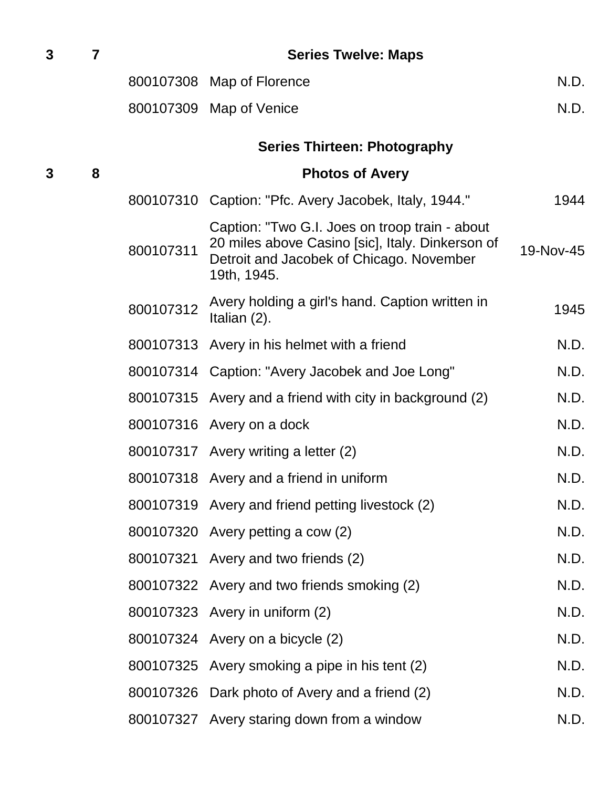| 3 | 7 | <b>Series Twelve: Maps</b> |                                                                                                                                                               |           |  |  |
|---|---|----------------------------|---------------------------------------------------------------------------------------------------------------------------------------------------------------|-----------|--|--|
|   |   |                            | 800107308 Map of Florence                                                                                                                                     | N.D.      |  |  |
|   |   |                            | 800107309 Map of Venice                                                                                                                                       | N.D.      |  |  |
|   |   |                            | <b>Series Thirteen: Photography</b>                                                                                                                           |           |  |  |
| 3 | 8 |                            | <b>Photos of Avery</b>                                                                                                                                        |           |  |  |
|   |   | 800107310                  | Caption: "Pfc. Avery Jacobek, Italy, 1944."                                                                                                                   | 1944      |  |  |
|   |   | 800107311                  | Caption: "Two G.I. Joes on troop train - about<br>20 miles above Casino [sic], Italy. Dinkerson of<br>Detroit and Jacobek of Chicago. November<br>19th, 1945. | 19-Nov-45 |  |  |
|   |   | 800107312                  | Avery holding a girl's hand. Caption written in<br>Italian (2).                                                                                               | 1945      |  |  |
|   |   |                            | 800107313 Avery in his helmet with a friend                                                                                                                   | N.D.      |  |  |
|   |   |                            | 800107314 Caption: "Avery Jacobek and Joe Long"                                                                                                               | N.D.      |  |  |
|   |   |                            | 800107315 Avery and a friend with city in background (2)                                                                                                      | N.D.      |  |  |
|   |   |                            | 800107316 Avery on a dock                                                                                                                                     | N.D.      |  |  |
|   |   |                            | 800107317 Avery writing a letter (2)                                                                                                                          | N.D.      |  |  |
|   |   |                            | 800107318 Avery and a friend in uniform                                                                                                                       | N.D.      |  |  |
|   |   |                            | 800107319 Avery and friend petting livestock (2)                                                                                                              | N.D.      |  |  |
|   |   |                            | 800107320 Avery petting a cow (2)                                                                                                                             | N.D.      |  |  |
|   |   |                            | 800107321 Avery and two friends (2)                                                                                                                           | N.D.      |  |  |
|   |   |                            | 800107322 Avery and two friends smoking (2)                                                                                                                   | N.D.      |  |  |
|   |   |                            | 800107323 Avery in uniform (2)                                                                                                                                | N.D.      |  |  |
|   |   |                            | 800107324 Avery on a bicycle (2)                                                                                                                              | N.D.      |  |  |
|   |   |                            | 800107325 Avery smoking a pipe in his tent (2)                                                                                                                | N.D.      |  |  |
|   |   |                            | 800107326 Dark photo of Avery and a friend (2)                                                                                                                | N.D.      |  |  |
|   |   |                            | 800107327 Avery staring down from a window                                                                                                                    | N.D.      |  |  |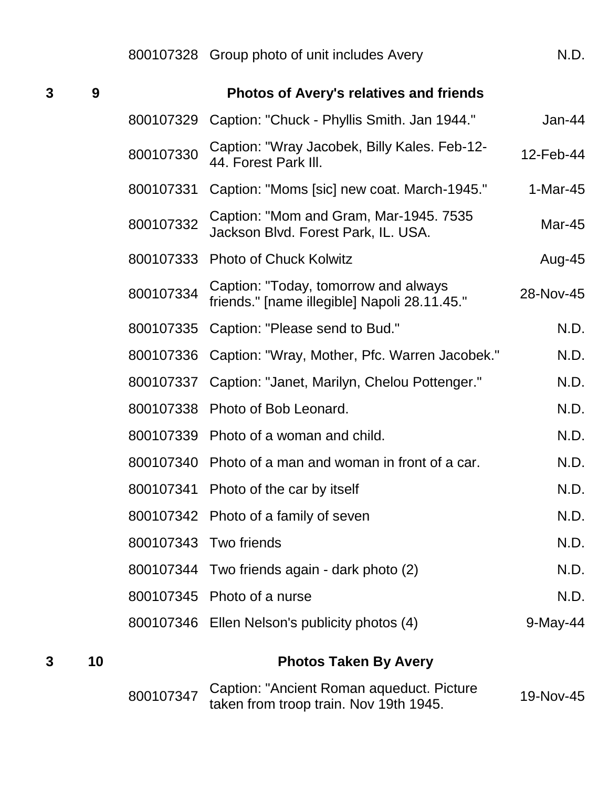| 3 | 9  | <b>Photos of Avery's relatives and friends</b> |                                                                                      |            |  |
|---|----|------------------------------------------------|--------------------------------------------------------------------------------------|------------|--|
|   |    | 800107329                                      | Caption: "Chuck - Phyllis Smith. Jan 1944."                                          | Jan-44     |  |
|   |    | 800107330                                      | Caption: "Wray Jacobek, Billy Kales. Feb-12-<br>44. Forest Park III.                 | 12-Feb-44  |  |
|   |    | 800107331                                      | Caption: "Moms [sic] new coat. March-1945."                                          | $1-Mar-45$ |  |
|   |    | 800107332                                      | Caption: "Mom and Gram, Mar-1945. 7535<br>Jackson Blvd. Forest Park, IL. USA.        | Mar-45     |  |
|   |    | 800107333                                      | <b>Photo of Chuck Kolwitz</b>                                                        | Aug-45     |  |
|   |    | 800107334                                      | Caption: "Today, tomorrow and always<br>friends." [name illegible] Napoli 28.11.45." | 28-Nov-45  |  |
|   |    | 800107335                                      | Caption: "Please send to Bud."                                                       | N.D.       |  |
|   |    | 800107336                                      | Caption: "Wray, Mother, Pfc. Warren Jacobek."                                        | N.D.       |  |
|   |    | 800107337                                      | Caption: "Janet, Marilyn, Chelou Pottenger."                                         | N.D.       |  |
|   |    | 800107338                                      | Photo of Bob Leonard.                                                                | N.D.       |  |
|   |    | 800107339                                      | Photo of a woman and child.                                                          | N.D.       |  |
|   |    | 800107340                                      | Photo of a man and woman in front of a car.                                          | N.D.       |  |
|   |    | 800107341                                      | Photo of the car by itself                                                           | N.D.       |  |
|   |    |                                                | 800107342 Photo of a family of seven                                                 | N.D.       |  |
|   |    |                                                | 800107343 Two friends                                                                | N.D.       |  |
|   |    |                                                | 800107344 Two friends again - dark photo (2)                                         | N.D.       |  |
|   |    |                                                | 800107345 Photo of a nurse                                                           | N.D.       |  |
|   |    |                                                | 800107346 Ellen Nelson's publicity photos (4)                                        | 9-May-44   |  |
| 3 | 10 |                                                | <b>Photos Taken By Avery</b>                                                         |            |  |

| 800107347 Caption: "Ancient Roman aqueduct. Picture | 19-Nov-45 |
|-----------------------------------------------------|-----------|
| taken from troop train. Nov 19th 1945.              |           |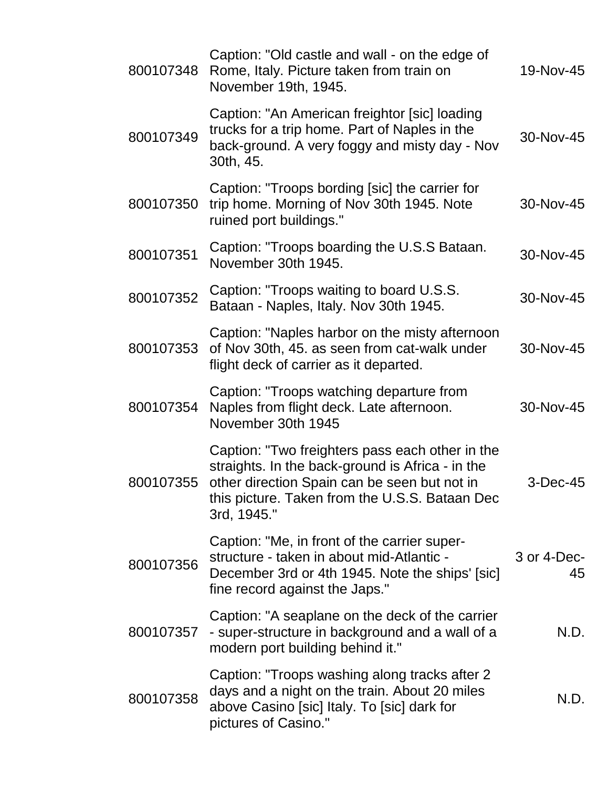| 800107348 | Caption: "Old castle and wall - on the edge of<br>Rome, Italy. Picture taken from train on<br>November 19th, 1945.                                                                                                   | 19-Nov-45         |
|-----------|----------------------------------------------------------------------------------------------------------------------------------------------------------------------------------------------------------------------|-------------------|
| 800107349 | Caption: "An American freightor [sic] loading<br>trucks for a trip home. Part of Naples in the<br>back-ground. A very foggy and misty day - Nov<br>30th, 45.                                                         | 30-Nov-45         |
| 800107350 | Caption: "Troops bording [sic] the carrier for<br>trip home. Morning of Nov 30th 1945. Note<br>ruined port buildings."                                                                                               | 30-Nov-45         |
| 800107351 | Caption: "Troops boarding the U.S.S Bataan.<br>November 30th 1945.                                                                                                                                                   | 30-Nov-45         |
| 800107352 | Caption: "Troops waiting to board U.S.S.<br>Bataan - Naples, Italy. Nov 30th 1945.                                                                                                                                   | 30-Nov-45         |
| 800107353 | Caption: "Naples harbor on the misty afternoon<br>of Nov 30th, 45. as seen from cat-walk under<br>flight deck of carrier as it departed.                                                                             | 30-Nov-45         |
| 800107354 | Caption: "Troops watching departure from<br>Naples from flight deck. Late afternoon.<br>November 30th 1945                                                                                                           | 30-Nov-45         |
| 800107355 | Caption: "Two freighters pass each other in the<br>straights. In the back-ground is Africa - in the<br>other direction Spain can be seen but not in<br>this picture. Taken from the U.S.S. Bataan Dec<br>3rd, 1945." | $3$ -Dec-45       |
| 800107356 | Caption: "Me, in front of the carrier super-<br>structure - taken in about mid-Atlantic -<br>December 3rd or 4th 1945. Note the ships' [sic]<br>fine record against the Japs."                                       | 3 or 4-Dec-<br>45 |
| 800107357 | Caption: "A seaplane on the deck of the carrier<br>- super-structure in background and a wall of a<br>modern port building behind it."                                                                               | N.D.              |
| 800107358 | Caption: "Troops washing along tracks after 2<br>days and a night on the train. About 20 miles<br>above Casino [sic] Italy. To [sic] dark for<br>pictures of Casino."                                                | N.D.              |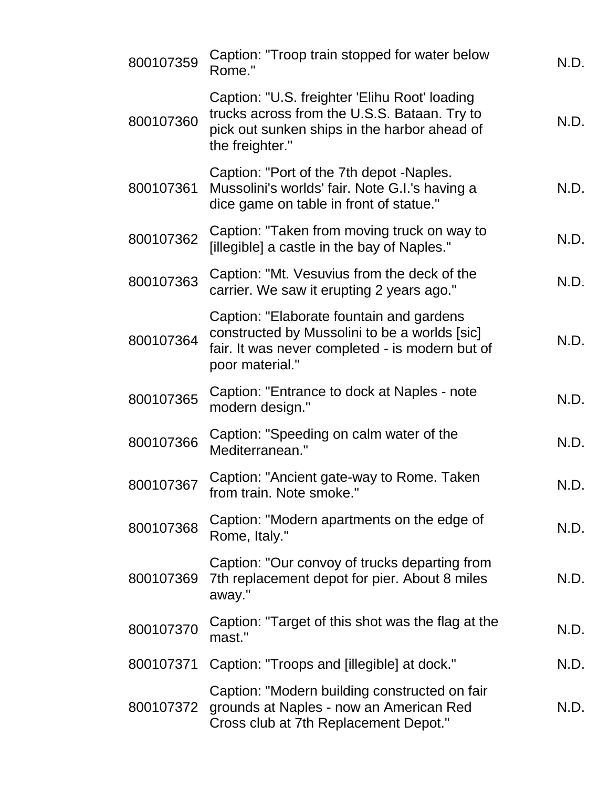| 800107359 | Caption: "Troop train stopped for water below<br>Rome."                                                                                                          | N.D. |
|-----------|------------------------------------------------------------------------------------------------------------------------------------------------------------------|------|
| 800107360 | Caption: "U.S. freighter 'Elihu Root' loading<br>trucks across from the U.S.S. Bataan. Try to<br>pick out sunken ships in the harbor ahead of<br>the freighter." | N.D. |
| 800107361 | Caption: "Port of the 7th depot -Naples.<br>Mussolini's worlds' fair. Note G.I.'s having a<br>dice game on table in front of statue."                            | N.D. |
| 800107362 | Caption: "Taken from moving truck on way to<br>[illegible] a castle in the bay of Naples."                                                                       | N.D. |
| 800107363 | Caption: "Mt. Vesuvius from the deck of the<br>carrier. We saw it erupting 2 years ago."                                                                         | N.D. |
| 800107364 | Caption: "Elaborate fountain and gardens<br>constructed by Mussolini to be a worlds [sic]<br>fair. It was never completed - is modern but of<br>poor material."  | N.D. |
| 800107365 | Caption: "Entrance to dock at Naples - note<br>modern design."                                                                                                   | N.D. |
| 800107366 | Caption: "Speeding on calm water of the<br>Mediterranean."                                                                                                       | N.D. |
| 800107367 | Caption: "Ancient gate-way to Rome. Taken<br>from train. Note smoke."                                                                                            | N.D. |
| 800107368 | Caption: "Modern apartments on the edge of<br>Rome, Italy."                                                                                                      | N.D. |
| 800107369 | Caption: "Our convoy of trucks departing from<br>7th replacement depot for pier. About 8 miles<br>away."                                                         | N.D. |
| 800107370 | Caption: "Target of this shot was the flag at the<br>mast."                                                                                                      | N.D. |
| 800107371 | Caption: "Troops and [illegible] at dock."                                                                                                                       | N.D. |
| 800107372 | Caption: "Modern building constructed on fair<br>grounds at Naples - now an American Red<br>Cross club at 7th Replacement Depot."                                | N.D. |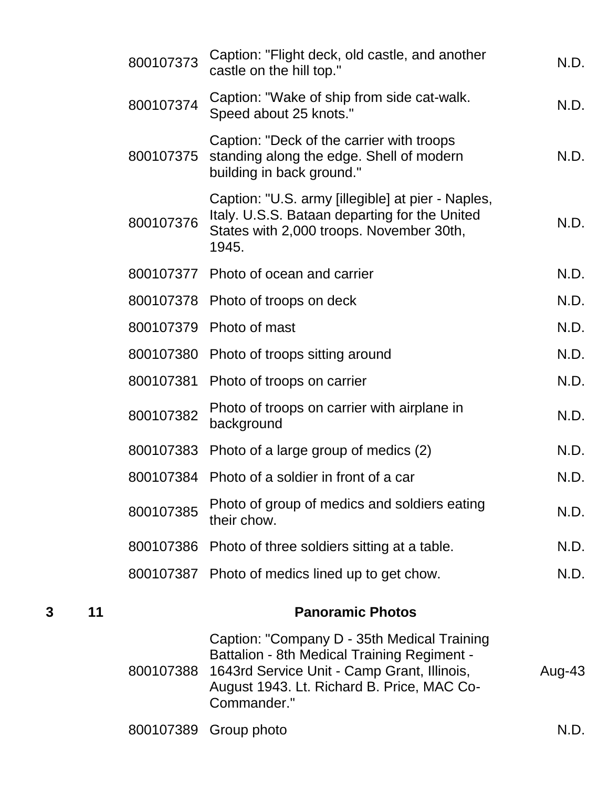|   |    | 800107373 | Caption: "Flight deck, old castle, and another<br>castle on the hill top."                                                                                                                                    | N.D.   |
|---|----|-----------|---------------------------------------------------------------------------------------------------------------------------------------------------------------------------------------------------------------|--------|
|   |    | 800107374 | Caption: "Wake of ship from side cat-walk.<br>Speed about 25 knots."                                                                                                                                          | N.D.   |
|   |    | 800107375 | Caption: "Deck of the carrier with troops<br>standing along the edge. Shell of modern<br>building in back ground."                                                                                            | N.D.   |
|   |    | 800107376 | Caption: "U.S. army [illegible] at pier - Naples,<br>Italy. U.S.S. Bataan departing for the United<br>States with 2,000 troops. November 30th,<br>1945.                                                       | N.D.   |
|   |    |           | 800107377 Photo of ocean and carrier                                                                                                                                                                          | N.D.   |
|   |    |           | 800107378 Photo of troops on deck                                                                                                                                                                             | N.D.   |
|   |    |           | 800107379 Photo of mast                                                                                                                                                                                       | N.D.   |
|   |    |           | 800107380 Photo of troops sitting around                                                                                                                                                                      | N.D.   |
|   |    | 800107381 | Photo of troops on carrier                                                                                                                                                                                    | N.D.   |
|   |    | 800107382 | Photo of troops on carrier with airplane in<br>background                                                                                                                                                     | N.D.   |
|   |    |           | 800107383 Photo of a large group of medics (2)                                                                                                                                                                | N.D.   |
|   |    |           | 800107384 Photo of a soldier in front of a car                                                                                                                                                                | N.D.   |
|   |    | 800107385 | Photo of group of medics and soldiers eating<br>their chow.                                                                                                                                                   | N.D.   |
|   |    |           | 800107386 Photo of three soldiers sitting at a table.                                                                                                                                                         | N.D.   |
|   |    |           | 800107387 Photo of medics lined up to get chow.                                                                                                                                                               | N.D.   |
| 3 | 11 |           | <b>Panoramic Photos</b>                                                                                                                                                                                       |        |
|   |    | 800107388 | Caption: "Company D - 35th Medical Training<br><b>Battalion - 8th Medical Training Regiment -</b><br>1643rd Service Unit - Camp Grant, Illinois,<br>August 1943. Lt. Richard B. Price, MAC Co-<br>Commander." | Aug-43 |

|  | 800107389 Group photo |  |  |
|--|-----------------------|--|--|
|--|-----------------------|--|--|